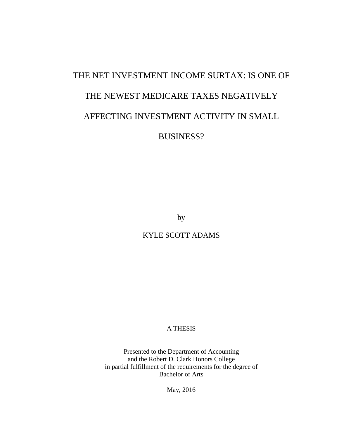# THE NET INVESTMENT INCOME SURTAX: IS ONE OF THE NEWEST MEDICARE TAXES NEGATIVELY AFFECTING INVESTMENT ACTIVITY IN SMALL BUSINESS?

by

KYLE SCOTT ADAMS

A THESIS

Presented to the Department of Accounting and the Robert D. Clark Honors College in partial fulfillment of the requirements for the degree of Bachelor of Arts

May, 2016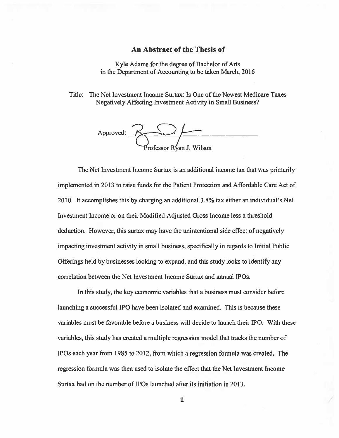## An Abstract of the Thesis of

Kyle Adams for the degree of Bachelor of Arts in the Department of Accounting to be taken March, 2016

Title: The Net Investment Income Surtax: Is One of the Newest Medicare Taxes Negatively Affecting Investment Activity in Small Business?



The Net Investment Income Surtax is an additional income tax that was primarily implemented in 2013 to raise funds for the Patient Protection and Affordable Care Act of 2010. It accomplishes this by charging an additional 3.8% tax either an individual's Net Investment Income or on their Modified Adjusted Gross Income less a threshold deduction. However, this surtax may have the unintentional side effect of negatively impacting investment activity in small business, specifically in regards to Initial Public Offerings held by businesses looking to expand, and this study looks to identify any correlation between the Net Investment Income Surtax and annual IPOs.

In this study, the key economic variables that a business must consider before launching a successful IPO have been isolated and examined. This is because these variables must be favorable before a business will decide to launch their IPO. With these variables, this study has created a multiple regression model that tracks the number of IPOs each year from 1985 to 2012, from which a regression formula was created. The regression formula was then used to isolate the effect that the Net Investment Income Surtax had on the number of IPOs launched after its initiation in 2013.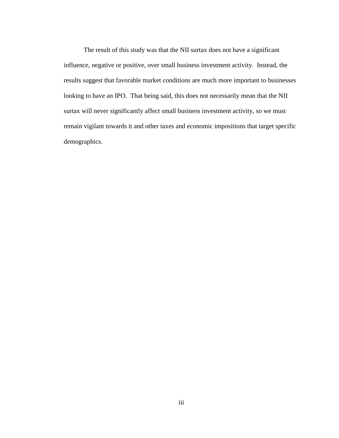The result of this study was that the NII surtax does not have a significant influence, negative or positive, over small business investment activity. Instead, the results suggest that favorable market conditions are much more important to businesses looking to have an IPO. That being said, this does not necessarily mean that the NII surtax will never significantly affect small business investment activity, so we must remain vigilant towards it and other taxes and economic impositions that target specific demographics.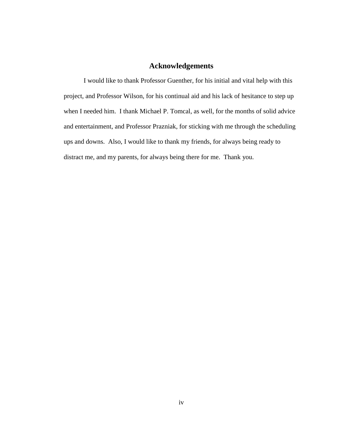## **Acknowledgements**

I would like to thank Professor Guenther, for his initial and vital help with this project, and Professor Wilson, for his continual aid and his lack of hesitance to step up when I needed him. I thank Michael P. Tomcal, as well, for the months of solid advice and entertainment, and Professor Prazniak, for sticking with me through the scheduling ups and downs. Also, I would like to thank my friends, for always being ready to distract me, and my parents, for always being there for me. Thank you.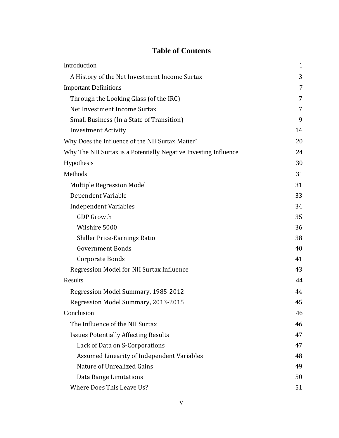## **Table of Contents**

| Introduction                                                     | $\mathbf{1}$ |
|------------------------------------------------------------------|--------------|
| A History of the Net Investment Income Surtax                    | 3            |
| <b>Important Definitions</b>                                     | 7            |
| Through the Looking Glass (of the IRC)                           | 7            |
| Net Investment Income Surtax                                     | 7            |
| Small Business (In a State of Transition)                        | 9            |
| <b>Investment Activity</b>                                       | 14           |
| Why Does the Influence of the NII Surtax Matter?                 | 20           |
| Why The NII Surtax is a Potentially Negative Investing Influence | 24           |
| Hypothesis                                                       | 30           |
| Methods                                                          | 31           |
| <b>Multiple Regression Model</b>                                 | 31           |
| Dependent Variable                                               | 33           |
| <b>Independent Variables</b>                                     | 34           |
| <b>GDP Growth</b>                                                | 35           |
| Wilshire 5000                                                    | 36           |
| <b>Shiller Price-Earnings Ratio</b>                              | 38           |
| <b>Government Bonds</b>                                          | 40           |
| Corporate Bonds                                                  | 41           |
| Regression Model for NII Surtax Influence                        | 43           |
| Results                                                          | 44           |
| Regression Model Summary, 1985-2012                              | 44           |
| Regression Model Summary, 2013-2015                              | 45           |
| Conclusion                                                       | 46           |
| The Influence of the NII Surtax                                  | 46           |
| <b>Issues Potentially Affecting Results</b>                      | 47           |
| Lack of Data on S-Corporations                                   | 47           |
| Assumed Linearity of Independent Variables                       | 48           |
| Nature of Unrealized Gains                                       | 49           |
| Data Range Limitations                                           | 50           |
| Where Does This Leave Us?                                        | 51           |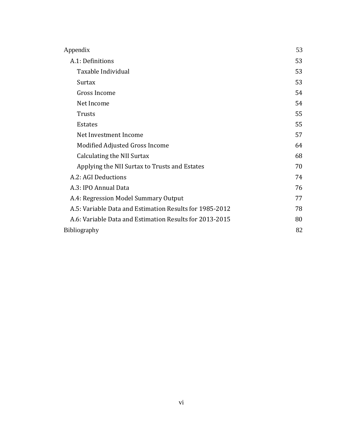| Appendix                                                | 53 |
|---------------------------------------------------------|----|
| A.1: Definitions                                        | 53 |
| Taxable Individual                                      | 53 |
| Surtax                                                  | 53 |
| Gross Income                                            | 54 |
| Net Income                                              | 54 |
| Trusts                                                  | 55 |
| <b>Estates</b>                                          | 55 |
| Net Investment Income                                   | 57 |
| Modified Adjusted Gross Income                          | 64 |
| Calculating the NII Surtax                              | 68 |
| Applying the NII Surtax to Trusts and Estates           | 70 |
| A.2: AGI Deductions                                     | 74 |
| A.3: IPO Annual Data                                    | 76 |
| A.4: Regression Model Summary Output                    | 77 |
| A.5: Variable Data and Estimation Results for 1985-2012 | 78 |
| A.6: Variable Data and Estimation Results for 2013-2015 | 80 |
| <b>Bibliography</b>                                     | 82 |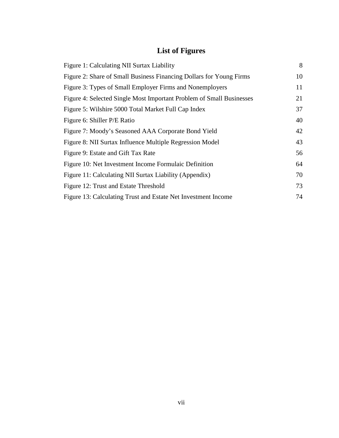# **List of Figures**

| Figure 1: Calculating NII Surtax Liability                           | 8  |
|----------------------------------------------------------------------|----|
| Figure 2: Share of Small Business Financing Dollars for Young Firms  | 10 |
| Figure 3: Types of Small Employer Firms and Nonemployers             | 11 |
| Figure 4: Selected Single Most Important Problem of Small Businesses | 21 |
| Figure 5: Wilshire 5000 Total Market Full Cap Index                  | 37 |
| Figure 6: Shiller P/E Ratio                                          | 40 |
| Figure 7: Moody's Seasoned AAA Corporate Bond Yield                  | 42 |
| Figure 8: NII Surtax Influence Multiple Regression Model             | 43 |
| Figure 9: Estate and Gift Tax Rate                                   | 56 |
| Figure 10: Net Investment Income Formulaic Definition                | 64 |
| Figure 11: Calculating NII Surtax Liability (Appendix)               | 70 |
| Figure 12: Trust and Estate Threshold                                | 73 |
| Figure 13: Calculating Trust and Estate Net Investment Income        | 74 |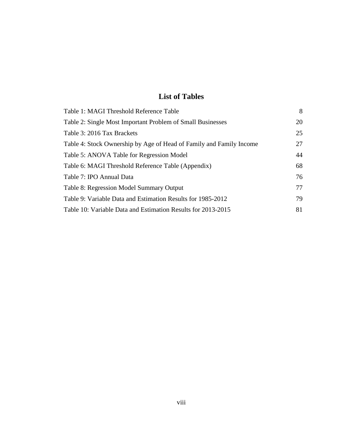# **List of Tables**

| Table 1: MAGI Threshold Reference Table                             | 8  |
|---------------------------------------------------------------------|----|
| Table 2: Single Most Important Problem of Small Businesses          | 20 |
| Table 3: 2016 Tax Brackets                                          | 25 |
| Table 4: Stock Ownership by Age of Head of Family and Family Income | 27 |
| Table 5: ANOVA Table for Regression Model                           | 44 |
| Table 6: MAGI Threshold Reference Table (Appendix)                  | 68 |
| Table 7: IPO Annual Data                                            | 76 |
| Table 8: Regression Model Summary Output                            | 77 |
| Table 9: Variable Data and Estimation Results for 1985-2012         | 79 |
| Table 10: Variable Data and Estimation Results for 2013-2015        | 81 |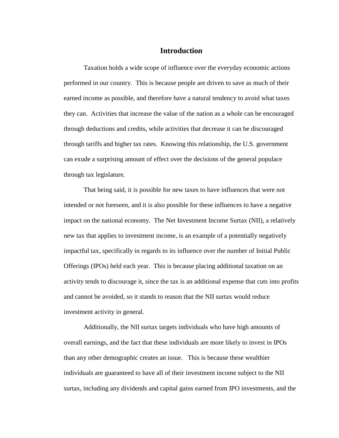## **Introduction**

Taxation holds a wide scope of influence over the everyday economic actions performed in our country. This is because people are driven to save as much of their earned income as possible, and therefore have a natural tendency to avoid what taxes they can. Activities that increase the value of the nation as a whole can be encouraged through deductions and credits, while activities that decrease it can be discouraged through tariffs and higher tax rates. Knowing this relationship, the U.S. government can exude a surprising amount of effect over the decisions of the general populace through tax legislature.

That being said, it is possible for new taxes to have influences that were not intended or not foreseen, and it is also possible for these influences to have a negative impact on the national economy. The Net Investment Income Surtax (NII), a relatively new tax that applies to investment income, is an example of a potentially negatively impactful tax, specifically in regards to its influence over the number of Initial Public Offerings (IPOs) held each year. This is because placing additional taxation on an activity tends to discourage it, since the tax is an additional expense that cuts into profits and cannot be avoided, so it stands to reason that the NII surtax would reduce investment activity in general.

Additionally, the NII surtax targets individuals who have high amounts of overall earnings, and the fact that these individuals are more likely to invest in IPOs than any other demographic creates an issue. This is because these wealthier individuals are guaranteed to have all of their investment income subject to the NII surtax, including any dividends and capital gains earned from IPO investments, and the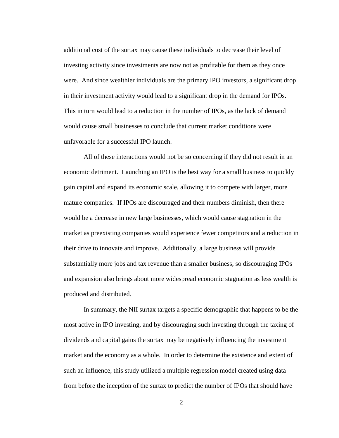additional cost of the surtax may cause these individuals to decrease their level of investing activity since investments are now not as profitable for them as they once were. And since wealthier individuals are the primary IPO investors, a significant drop in their investment activity would lead to a significant drop in the demand for IPOs. This in turn would lead to a reduction in the number of IPOs, as the lack of demand would cause small businesses to conclude that current market conditions were unfavorable for a successful IPO launch.

All of these interactions would not be so concerning if they did not result in an economic detriment. Launching an IPO is the best way for a small business to quickly gain capital and expand its economic scale, allowing it to compete with larger, more mature companies. If IPOs are discouraged and their numbers diminish, then there would be a decrease in new large businesses, which would cause stagnation in the market as preexisting companies would experience fewer competitors and a reduction in their drive to innovate and improve. Additionally, a large business will provide substantially more jobs and tax revenue than a smaller business, so discouraging IPOs and expansion also brings about more widespread economic stagnation as less wealth is produced and distributed.

In summary, the NII surtax targets a specific demographic that happens to be the most active in IPO investing, and by discouraging such investing through the taxing of dividends and capital gains the surtax may be negatively influencing the investment market and the economy as a whole. In order to determine the existence and extent of such an influence, this study utilized a multiple regression model created using data from before the inception of the surtax to predict the number of IPOs that should have

2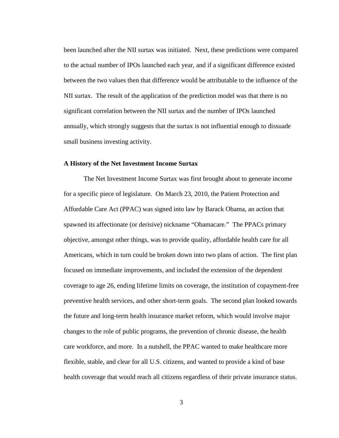been launched after the NII surtax was initiated. Next, these predictions were compared to the actual number of IPOs launched each year, and if a significant difference existed between the two values then that difference would be attributable to the influence of the NII surtax. The result of the application of the prediction model was that there is no significant correlation between the NII surtax and the number of IPOs launched annually, which strongly suggests that the surtax is not influential enough to dissuade small business investing activity.

### **A History of the Net Investment Income Surtax**

The Net Investment Income Surtax was first brought about to generate income for a specific piece of legislature. On March 23, 2010, the Patient Protection and Affordable Care Act (PPAC) was signed into law by Barack Obama, an action that spawned its affectionate (or derisive) nickname "Obamacare." The PPACs primary objective, amongst other things, was to provide quality, affordable health care for all Americans, which in turn could be broken down into two plans of action. The first plan focused on immediate improvements, and included the extension of the dependent coverage to age 26, ending lifetime limits on coverage, the institution of copayment-free preventive health services, and other short-term goals. The second plan looked towards the future and long-term health insurance market reform, which would involve major changes to the role of public programs, the prevention of chronic disease, the health care workforce, and more. In a nutshell, the PPAC wanted to make healthcare more flexible, stable, and clear for all U.S. citizens, and wanted to provide a kind of base health coverage that would reach all citizens regardless of their private insurance status.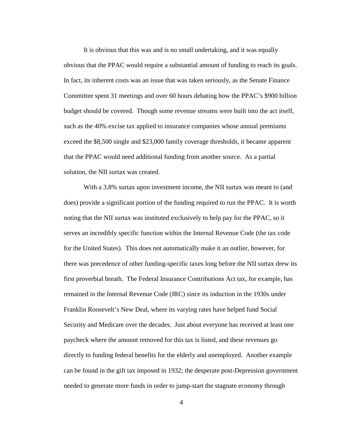It is obvious that this was and is no small undertaking, and it was equally obvious that the PPAC would require a substantial amount of funding to reach its goals. In fact, its inherent costs was an issue that was taken seriously, as the Senate Finance Committee spent 31 meetings and over 60 hours debating how the PPAC's \$900 billion budget should be covered. Though some revenue streams were built into the act itself, such as the 40% excise tax applied to insurance companies whose annual premiums exceed the \$8,500 single and \$23,000 family coverage thresholds, it became apparent that the PPAC would need additional funding from another source. As a partial solution, the NII surtax was created.

With a 3.8% surtax upon investment income, the NII surtax was meant to (and does) provide a significant portion of the funding required to run the PPAC. It is worth noting that the NII surtax was instituted exclusively to help pay for the PPAC, so it serves an incredibly specific function within the Internal Revenue Code (the tax code for the United States). This does not automatically make it an outlier, however, for there was precedence of other funding-specific taxes long before the NII surtax drew its first proverbial breath. The Federal Insurance Contributions Act tax, for example, has remained in the Internal Revenue Code (IRC) since its induction in the 1930s under Franklin Roosevelt's New Deal, where its varying rates have helped fund Social Security and Medicare over the decades. Just about everyone has received at least one paycheck where the amount removed for this tax is listed, and these revenues go directly to funding federal benefits for the elderly and unemployed. Another example can be found in the gift tax imposed in 1932; the desperate post-Depression government needed to generate more funds in order to jump-start the stagnate economy through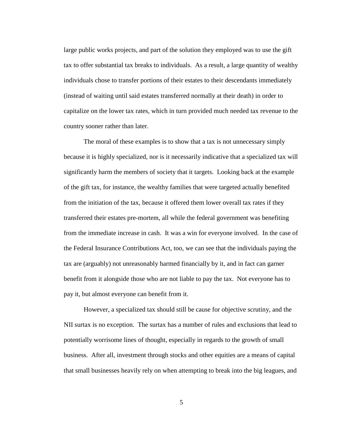large public works projects, and part of the solution they employed was to use the gift tax to offer substantial tax breaks to individuals. As a result, a large quantity of wealthy individuals chose to transfer portions of their estates to their descendants immediately (instead of waiting until said estates transferred normally at their death) in order to capitalize on the lower tax rates, which in turn provided much needed tax revenue to the country sooner rather than later.

The moral of these examples is to show that a tax is not unnecessary simply because it is highly specialized, nor is it necessarily indicative that a specialized tax will significantly harm the members of society that it targets. Looking back at the example of the gift tax, for instance, the wealthy families that were targeted actually benefited from the initiation of the tax, because it offered them lower overall tax rates if they transferred their estates pre-mortem, all while the federal government was benefiting from the immediate increase in cash. It was a win for everyone involved. In the case of the Federal Insurance Contributions Act, too, we can see that the individuals paying the tax are (arguably) not unreasonably harmed financially by it, and in fact can garner benefit from it alongside those who are not liable to pay the tax. Not everyone has to pay it, but almost everyone can benefit from it.

However, a specialized tax should still be cause for objective scrutiny, and the NII surtax is no exception. The surtax has a number of rules and exclusions that lead to potentially worrisome lines of thought, especially in regards to the growth of small business. After all, investment through stocks and other equities are a means of capital that small businesses heavily rely on when attempting to break into the big leagues, and

5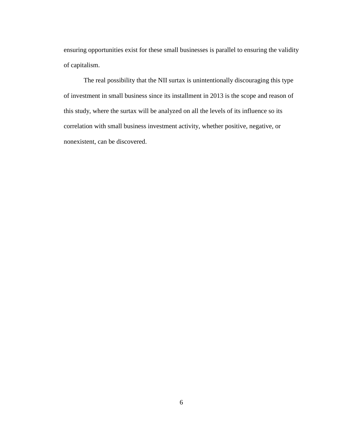ensuring opportunities exist for these small businesses is parallel to ensuring the validity of capitalism.

The real possibility that the NII surtax is unintentionally discouraging this type of investment in small business since its installment in 2013 is the scope and reason of this study, where the surtax will be analyzed on all the levels of its influence so its correlation with small business investment activity, whether positive, negative, or nonexistent, can be discovered.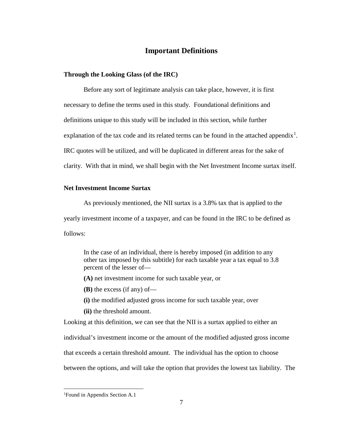## **Important Definitions**

### **Through the Looking Glass (of the IRC)**

Before any sort of legitimate analysis can take place, however, it is first necessary to define the terms used in this study. Foundational definitions and definitions unique to this study will be included in this section, while further explanation of the tax code and its related terms can be found in the attached appendix<sup>[1](#page-14-0)</sup>. IRC quotes will be utilized, and will be duplicated in different areas for the sake of clarity. With that in mind, we shall begin with the Net Investment Income surtax itself.

### **Net Investment Income Surtax**

As previously mentioned, the NII surtax is a 3.8% tax that is applied to the yearly investment income of a taxpayer, and can be found in the IRC to be defined as follows:

In the case of an individual, there is hereby imposed (in addition to any other tax imposed by this subtitle) for each taxable year a tax equal to 3.8 percent of the lesser of—

**(A)** net investment income for such taxable year, or

**(B)** the excess (if any) of—

**(i)** the modified adjusted gross income for such taxable year, over

**(ii)** the threshold amount.

Looking at this definition, we can see that the NII is a surtax applied to either an

individual's investment income or the amount of the modified adjusted gross income

that exceeds a certain threshold amount. The individual has the option to choose

between the options, and will take the option that provides the lowest tax liability. The

<span id="page-14-0"></span><sup>|&</sup>lt;br>|<br>| Found in Appendix Section A.1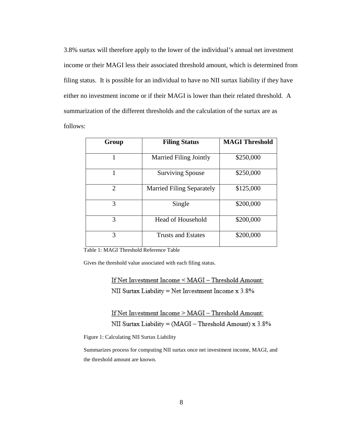3.8% surtax will therefore apply to the lower of the individual's annual net investment income or their MAGI less their associated threshold amount, which is determined from filing status. It is possible for an individual to have no NII surtax liability if they have either no investment income or if their MAGI is lower than their related threshold. A summarization of the different thresholds and the calculation of the surtax are as follows:

| Group                       | <b>Filing Status</b>             | <b>MAGI Threshold</b> |
|-----------------------------|----------------------------------|-----------------------|
|                             | <b>Married Filing Jointly</b>    | \$250,000             |
|                             | <b>Surviving Spouse</b>          | \$250,000             |
| $\mathcal{D}_{\mathcal{L}}$ | <b>Married Filing Separately</b> | \$125,000             |
| 3                           | Single                           | \$200,000             |
| 3                           | <b>Head of Household</b>         | \$200,000             |
| 3                           | <b>Trusts and Estates</b>        | \$200,000             |

<span id="page-15-1"></span>Table 1: MAGI Threshold Reference Table

Gives the threshold value associated with each filing status.

If Net Investment Income < MAGI - Threshold Amount: NII Surtax Liability = Net Investment Income x 3.8%

If Net Investment Income > MAGI - Threshold Amount: NII Surtax Liability = (MAGI - Threshold Amount) x 3.8%

<span id="page-15-0"></span>Figure 1: Calculating NII Surtax Liability

Summarizes process for computing NII surtax once net investment income, MAGI, and the threshold amount are known.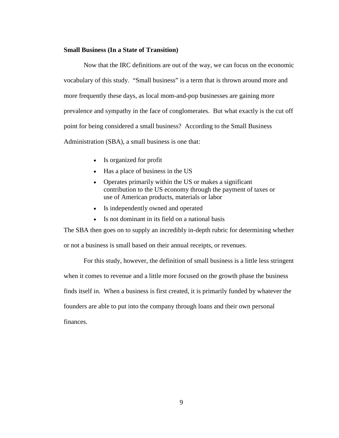### **Small Business (In a State of Transition)**

Now that the IRC definitions are out of the way, we can focus on the economic vocabulary of this study. "Small business" is a term that is thrown around more and more frequently these days, as local mom-and-pop businesses are gaining more prevalence and sympathy in the face of conglomerates. But what exactly is the cut off point for being considered a small business? According to the Small Business Administration (SBA), a small business is one that:

- Is organized for profit
- Has a place of business in the US
- Operates primarily within the US or makes a significant contribution to the US economy through the payment of taxes or use of American products, materials or labor
- Is independently owned and operated
- Is not dominant in its field on a national basis

The SBA then goes on to supply an incredibly in-depth rubric for determining whether or not a business is small based on their annual receipts, or revenues.

For this study, however, the definition of small business is a little less stringent when it comes to revenue and a little more focused on the growth phase the business finds itself in. When a business is first created, it is primarily funded by whatever the founders are able to put into the company through loans and their own personal finances.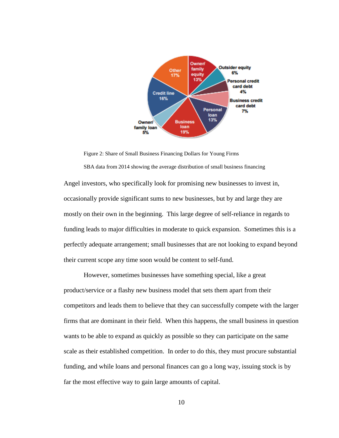

<span id="page-17-0"></span>Figure 2: Share of Small Business Financing Dollars for Young Firms SBA data from 2014 showing the average distribution of small business financing

Angel investors, who specifically look for promising new businesses to invest in, occasionally provide significant sums to new businesses, but by and large they are mostly on their own in the beginning. This large degree of self-reliance in regards to funding leads to major difficulties in moderate to quick expansion. Sometimes this is a perfectly adequate arrangement; small businesses that are not looking to expand beyond their current scope any time soon would be content to self-fund.

However, sometimes businesses have something special, like a great product/service or a flashy new business model that sets them apart from their competitors and leads them to believe that they can successfully compete with the larger firms that are dominant in their field. When this happens, the small business in question wants to be able to expand as quickly as possible so they can participate on the same scale as their established competition. In order to do this, they must procure substantial funding, and while loans and personal finances can go a long way, issuing stock is by far the most effective way to gain large amounts of capital.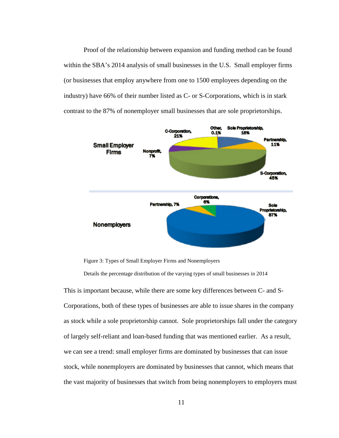Proof of the relationship between expansion and funding method can be found within the SBA's 2014 analysis of small businesses in the U.S. Small employer firms (or businesses that employ anywhere from one to 1500 employees depending on the industry) have 66% of their number listed as C- or S-Corporations, which is in stark contrast to the 87% of nonemployer small businesses that are sole proprietorships.



<span id="page-18-0"></span>Figure 3: Types of Small Employer Firms and Nonemployers

Details the percentage distribution of the varying types of small businesses in 2014

This is important because, while there are some key differences between C- and S-Corporations, both of these types of businesses are able to issue shares in the company as stock while a sole proprietorship cannot. Sole proprietorships fall under the category of largely self-reliant and loan-based funding that was mentioned earlier. As a result, we can see a trend: small employer firms are dominated by businesses that can issue stock, while nonemployers are dominated by businesses that cannot, which means that the vast majority of businesses that switch from being nonemployers to employers must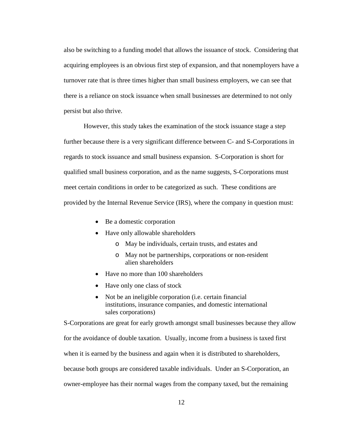also be switching to a funding model that allows the issuance of stock. Considering that acquiring employees is an obvious first step of expansion, and that nonemployers have a turnover rate that is three times higher than small business employers, we can see that there is a reliance on stock issuance when small businesses are determined to not only persist but also thrive.

However, this study takes the examination of the stock issuance stage a step further because there is a very significant difference between C- and S-Corporations in regards to stock issuance and small business expansion. S-Corporation is short for qualified small business corporation, and as the name suggests, S-Corporations must meet certain conditions in order to be categorized as such. These conditions are provided by the Internal Revenue Service (IRS), where the company in question must:

- Be a domestic corporation
- Have only allowable shareholders
	- o May be individuals, certain trusts, and estates and
	- o May not be partnerships, corporations or non-resident alien shareholders
- Have no more than 100 shareholders
- Have only one class of stock
- Not be an ineligible corporation (i.e. certain financial institutions, insurance companies, and domestic international sales corporations)

S-Corporations are great for early growth amongst small businesses because they allow

for the avoidance of double taxation. Usually, income from a business is taxed first

when it is earned by the business and again when it is distributed to shareholders,

because both groups are considered taxable individuals. Under an S-Corporation, an

owner-employee has their normal wages from the company taxed, but the remaining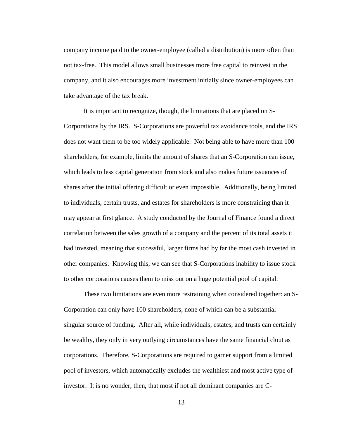company income paid to the owner-employee (called a distribution) is more often than not tax-free. This model allows small businesses more free capital to reinvest in the company, and it also encourages more investment initially since owner-employees can take advantage of the tax break.

It is important to recognize, though, the limitations that are placed on S-Corporations by the IRS. S-Corporations are powerful tax avoidance tools, and the IRS does not want them to be too widely applicable. Not being able to have more than 100 shareholders, for example, limits the amount of shares that an S-Corporation can issue, which leads to less capital generation from stock and also makes future issuances of shares after the initial offering difficult or even impossible. Additionally, being limited to individuals, certain trusts, and estates for shareholders is more constraining than it may appear at first glance. A study conducted by the Journal of Finance found a direct correlation between the sales growth of a company and the percent of its total assets it had invested, meaning that successful, larger firms had by far the most cash invested in other companies. Knowing this, we can see that S-Corporations inability to issue stock to other corporations causes them to miss out on a huge potential pool of capital.

These two limitations are even more restraining when considered together: an S-Corporation can only have 100 shareholders, none of which can be a substantial singular source of funding. After all, while individuals, estates, and trusts can certainly be wealthy, they only in very outlying circumstances have the same financial clout as corporations. Therefore, S-Corporations are required to garner support from a limited pool of investors, which automatically excludes the wealthiest and most active type of investor. It is no wonder, then, that most if not all dominant companies are C-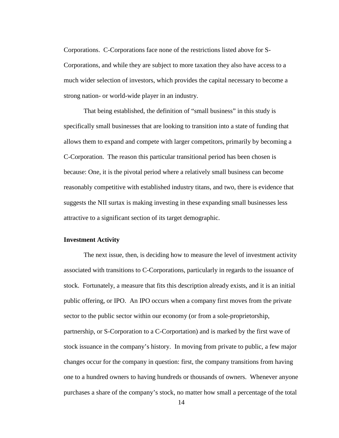Corporations. C-Corporations face none of the restrictions listed above for S-Corporations, and while they are subject to more taxation they also have access to a much wider selection of investors, which provides the capital necessary to become a strong nation- or world-wide player in an industry.

That being established, the definition of "small business" in this study is specifically small businesses that are looking to transition into a state of funding that allows them to expand and compete with larger competitors, primarily by becoming a C-Corporation. The reason this particular transitional period has been chosen is because: One, it is the pivotal period where a relatively small business can become reasonably competitive with established industry titans, and two, there is evidence that suggests the NII surtax is making investing in these expanding small businesses less attractive to a significant section of its target demographic.

#### **Investment Activity**

The next issue, then, is deciding how to measure the level of investment activity associated with transitions to C-Corporations, particularly in regards to the issuance of stock. Fortunately, a measure that fits this description already exists, and it is an initial public offering, or IPO. An IPO occurs when a company first moves from the private sector to the public sector within our economy (or from a sole-proprietorship, partnership, or S-Corporation to a C-Corportation) and is marked by the first wave of stock issuance in the company's history. In moving from private to public, a few major changes occur for the company in question: first, the company transitions from having one to a hundred owners to having hundreds or thousands of owners. Whenever anyone purchases a share of the company's stock, no matter how small a percentage of the total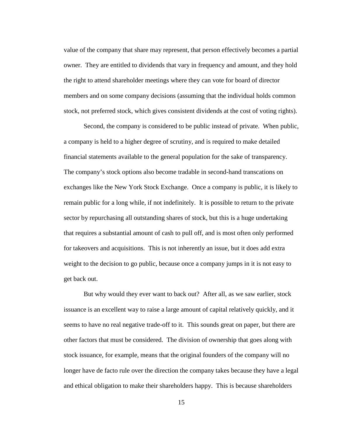value of the company that share may represent, that person effectively becomes a partial owner. They are entitled to dividends that vary in frequency and amount, and they hold the right to attend shareholder meetings where they can vote for board of director members and on some company decisions (assuming that the individual holds common stock, not preferred stock, which gives consistent dividends at the cost of voting rights).

Second, the company is considered to be public instead of private. When public, a company is held to a higher degree of scrutiny, and is required to make detailed financial statements available to the general population for the sake of transparency. The company's stock options also become tradable in second-hand transcations on exchanges like the New York Stock Exchange. Once a company is public, it is likely to remain public for a long while, if not indefinitely. It is possible to return to the private sector by repurchasing all outstanding shares of stock, but this is a huge undertaking that requires a substantial amount of cash to pull off, and is most often only performed for takeovers and acquisitions. This is not inherently an issue, but it does add extra weight to the decision to go public, because once a company jumps in it is not easy to get back out.

But why would they ever want to back out? After all, as we saw earlier, stock issuance is an excellent way to raise a large amount of capital relatively quickly, and it seems to have no real negative trade-off to it. This sounds great on paper, but there are other factors that must be considered. The division of ownership that goes along with stock issuance, for example, means that the original founders of the company will no longer have de facto rule over the direction the company takes because they have a legal and ethical obligation to make their shareholders happy. This is because shareholders

15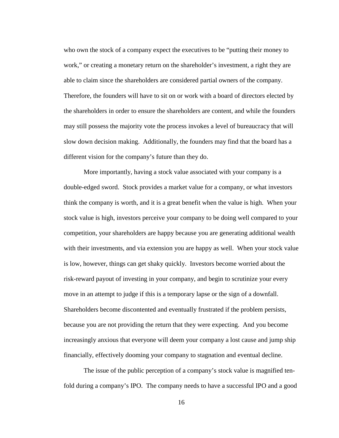who own the stock of a company expect the executives to be "putting their money to work," or creating a monetary return on the shareholder's investment, a right they are able to claim since the shareholders are considered partial owners of the company. Therefore, the founders will have to sit on or work with a board of directors elected by the shareholders in order to ensure the shareholders are content, and while the founders may still possess the majority vote the process invokes a level of bureaucracy that will slow down decision making. Additionally, the founders may find that the board has a different vision for the company's future than they do.

More importantly, having a stock value associated with your company is a double-edged sword. Stock provides a market value for a company, or what investors think the company is worth, and it is a great benefit when the value is high. When your stock value is high, investors perceive your company to be doing well compared to your competition, your shareholders are happy because you are generating additional wealth with their investments, and via extension you are happy as well. When your stock value is low, however, things can get shaky quickly. Investors become worried about the risk-reward payout of investing in your company, and begin to scrutinize your every move in an attempt to judge if this is a temporary lapse or the sign of a downfall. Shareholders become discontented and eventually frustrated if the problem persists, because you are not providing the return that they were expecting. And you become increasingly anxious that everyone will deem your company a lost cause and jump ship financially, effectively dooming your company to stagnation and eventual decline.

The issue of the public perception of a company's stock value is magnified tenfold during a company's IPO. The company needs to have a successful IPO and a good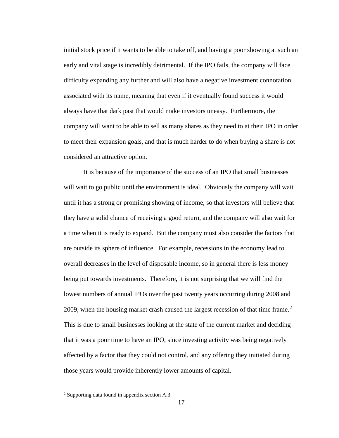initial stock price if it wants to be able to take off, and having a poor showing at such an early and vital stage is incredibly detrimental. If the IPO fails, the company will face difficulty expanding any further and will also have a negative investment connotation associated with its name, meaning that even if it eventually found success it would always have that dark past that would make investors uneasy. Furthermore, the company will want to be able to sell as many shares as they need to at their IPO in order to meet their expansion goals, and that is much harder to do when buying a share is not considered an attractive option.

It is because of the importance of the success of an IPO that small businesses will wait to go public until the environment is ideal. Obviously the company will wait until it has a strong or promising showing of income, so that investors will believe that they have a solid chance of receiving a good return, and the company will also wait for a time when it is ready to expand. But the company must also consider the factors that are outside its sphere of influence. For example, recessions in the economy lead to overall decreases in the level of disposable income, so in general there is less money being put towards investments. Therefore, it is not surprising that we will find the lowest numbers of annual IPOs over the past twenty years occurring during 2008 and [2](#page-24-0)009, when the housing market crash caused the largest recession of that time frame.<sup>2</sup> This is due to small businesses looking at the state of the current market and deciding that it was a poor time to have an IPO, since investing activity was being negatively affected by a factor that they could not control, and any offering they initiated during those years would provide inherently lower amounts of capital.

<span id="page-24-0"></span><sup>2</sup> Supporting data found in appendix section A.3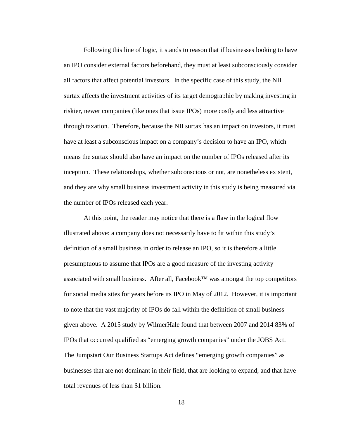Following this line of logic, it stands to reason that if businesses looking to have an IPO consider external factors beforehand, they must at least subconsciously consider all factors that affect potential investors. In the specific case of this study, the NII surtax affects the investment activities of its target demographic by making investing in riskier, newer companies (like ones that issue IPOs) more costly and less attractive through taxation. Therefore, because the NII surtax has an impact on investors, it must have at least a subconscious impact on a company's decision to have an IPO, which means the surtax should also have an impact on the number of IPOs released after its inception. These relationships, whether subconscious or not, are nonetheless existent, and they are why small business investment activity in this study is being measured via the number of IPOs released each year.

At this point, the reader may notice that there is a flaw in the logical flow illustrated above: a company does not necessarily have to fit within this study's definition of a small business in order to release an IPO, so it is therefore a little presumptuous to assume that IPOs are a good measure of the investing activity associated with small business. After all, Facebook<sup>™</sup> was amongst the top competitors for social media sites for years before its IPO in May of 2012. However, it is important to note that the vast majority of IPOs do fall within the definition of small business given above. A 2015 study by WilmerHale found that between 2007 and 2014 83% of IPOs that occurred qualified as "emerging growth companies" under the JOBS Act. The Jumpstart Our Business Startups Act defines "emerging growth companies" as businesses that are not dominant in their field, that are looking to expand, and that have total revenues of less than \$1 billion.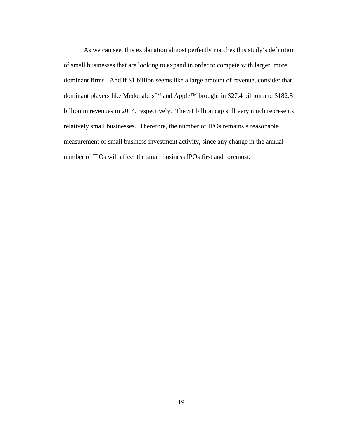As we can see, this explanation almost perfectly matches this study's definition of small businesses that are looking to expand in order to compete with larger, more dominant firms. And if \$1 billion seems like a large amount of revenue, consider that dominant players like Mcdonald's™ and Apple™ brought in \$27.4 billion and \$182.8 billion in revenues in 2014, respectively. The \$1 billion cap still very much represents relatively small businesses. Therefore, the number of IPOs remains a reasonable measurement of small business investment activity, since any change in the annual number of IPOs will affect the small business IPOs first and foremost.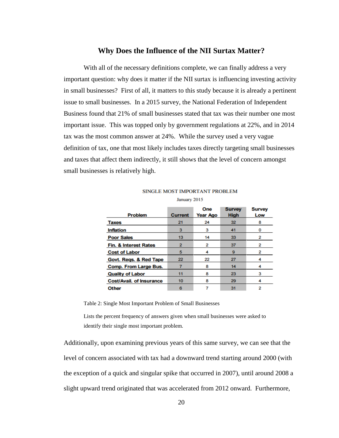## **Why Does the Influence of the NII Surtax Matter?**

With all of the necessary definitions complete, we can finally address a very important question: why does it matter if the NII surtax is influencing investing activity in small businesses? First of all, it matters to this study because it is already a pertinent issue to small businesses. In a 2015 survey, the National Federation of Independent Business found that 21% of small businesses stated that tax was their number one most important issue. This was topped only by government regulations at 22%, and in 2014 tax was the most common answer at 24%. While the survey used a very vague definition of tax, one that most likely includes taxes directly targeting small businesses and taxes that affect them indirectly, it still shows that the level of concern amongst small businesses is relatively high.

|                                  |                  | One      | <b>Survey</b> | <b>Survey</b> |
|----------------------------------|------------------|----------|---------------|---------------|
| <b>Problem</b>                   | <b>Current</b>   | Year Ago | <b>High</b>   | Low           |
| <b>Taxes</b>                     | 21               | 24       | 32            | 8             |
| <b>Inflation</b>                 | 3                | 3        | 41            | o             |
| <b>Poor Sales</b>                | 13               | 14       | 33            | 2             |
| <b>Fin. &amp; Interest Rates</b> | $\overline{2}$   | 2        | 37            | 2             |
| <b>Cost of Labor</b>             | 5                | 4        | 9             | 2             |
| Govt. Regs. & Red Tape           | 22               | 22       | 27            |               |
| <b>Comp. From Large Bus.</b>     |                  | 8        | 14            |               |
| <b>Quality of Labor</b>          | 11               | 8        | 23            | з             |
| <b>Cost/Avail. of Insurance</b>  | 10 <sub>10</sub> | 8        | 29            |               |
| <b>Other</b>                     | 6                |          | 31            | 2             |

#### SINGLE MOST IMPORTANT PROBLEM January 2015

<span id="page-27-0"></span>Table 2: Single Most Important Problem of Small Businesses

Lists the percent frequency of answers given when small businesses were asked to identify their single most important problem.

Additionally, upon examining previous years of this same survey, we can see that the level of concern associated with tax had a downward trend starting around 2000 (with the exception of a quick and singular spike that occurred in 2007), until around 2008 a slight upward trend originated that was accelerated from 2012 onward. Furthermore,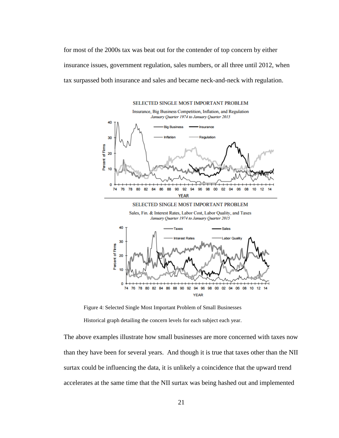for most of the 2000s tax was beat out for the contender of top concern by either insurance issues, government regulation, sales numbers, or all three until 2012, when tax surpassed both insurance and sales and became neck-and-neck with regulation.



<span id="page-28-0"></span>Figure 4: Selected Single Most Important Problem of Small Businesses Historical graph detailing the concern levels for each subject each year.

The above examples illustrate how small businesses are more concerned with taxes now than they have been for several years. And though it is true that taxes other than the NII surtax could be influencing the data, it is unlikely a coincidence that the upward trend accelerates at the same time that the NII surtax was being hashed out and implemented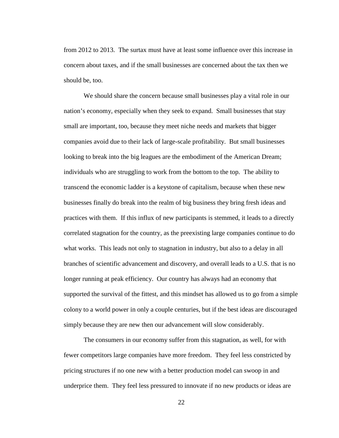from 2012 to 2013. The surtax must have at least some influence over this increase in concern about taxes, and if the small businesses are concerned about the tax then we should be, too.

We should share the concern because small businesses play a vital role in our nation's economy, especially when they seek to expand. Small businesses that stay small are important, too, because they meet niche needs and markets that bigger companies avoid due to their lack of large-scale profitability. But small businesses looking to break into the big leagues are the embodiment of the American Dream; individuals who are struggling to work from the bottom to the top. The ability to transcend the economic ladder is a keystone of capitalism, because when these new businesses finally do break into the realm of big business they bring fresh ideas and practices with them. If this influx of new participants is stemmed, it leads to a directly correlated stagnation for the country, as the preexisting large companies continue to do what works. This leads not only to stagnation in industry, but also to a delay in all branches of scientific advancement and discovery, and overall leads to a U.S. that is no longer running at peak efficiency. Our country has always had an economy that supported the survival of the fittest, and this mindset has allowed us to go from a simple colony to a world power in only a couple centuries, but if the best ideas are discouraged simply because they are new then our advancement will slow considerably.

The consumers in our economy suffer from this stagnation, as well, for with fewer competitors large companies have more freedom. They feel less constricted by pricing structures if no one new with a better production model can swoop in and underprice them. They feel less pressured to innovate if no new products or ideas are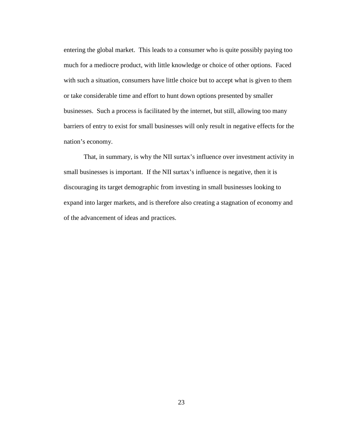entering the global market. This leads to a consumer who is quite possibly paying too much for a mediocre product, with little knowledge or choice of other options. Faced with such a situation, consumers have little choice but to accept what is given to them or take considerable time and effort to hunt down options presented by smaller businesses. Such a process is facilitated by the internet, but still, allowing too many barriers of entry to exist for small businesses will only result in negative effects for the nation's economy.

That, in summary, is why the NII surtax's influence over investment activity in small businesses is important. If the NII surtax's influence is negative, then it is discouraging its target demographic from investing in small businesses looking to expand into larger markets, and is therefore also creating a stagnation of economy and of the advancement of ideas and practices.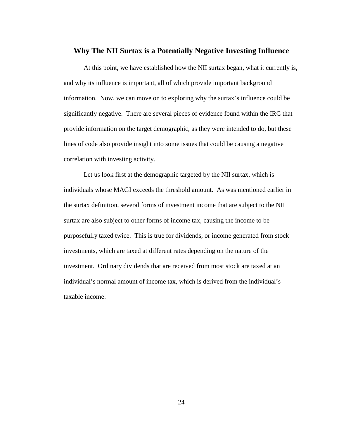## **Why The NII Surtax is a Potentially Negative Investing Influence**

At this point, we have established how the NII surtax began, what it currently is, and why its influence is important, all of which provide important background information. Now, we can move on to exploring why the surtax's influence could be significantly negative. There are several pieces of evidence found within the IRC that provide information on the target demographic, as they were intended to do, but these lines of code also provide insight into some issues that could be causing a negative correlation with investing activity.

Let us look first at the demographic targeted by the NII surtax, which is individuals whose MAGI exceeds the threshold amount. As was mentioned earlier in the surtax definition, several forms of investment income that are subject to the NII surtax are also subject to other forms of income tax, causing the income to be purposefully taxed twice. This is true for dividends, or income generated from stock investments, which are taxed at different rates depending on the nature of the investment. Ordinary dividends that are received from most stock are taxed at an individual's normal amount of income tax, which is derived from the individual's taxable income: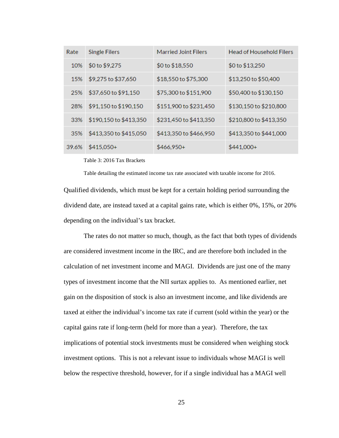| Rate  | <b>Single Filers</b>   | <b>Married Joint Filers</b> | <b>Head of Household Filers</b> |
|-------|------------------------|-----------------------------|---------------------------------|
| 10%   | \$0 to \$9,275         | \$0 to \$18,550             | \$0 to \$13,250                 |
| 15%   | \$9,275 to \$37,650    | \$18,550 to \$75,300        | \$13,250 to \$50,400            |
| 25%   | \$37,650 to \$91,150   | \$75,300 to \$151,900       | \$50,400 to \$130,150           |
| 28%   | \$91,150 to \$190,150  | \$151,900 to \$231,450      | \$130,150 to \$210,800          |
| 33%   | \$190,150 to \$413,350 | \$231,450 to \$413,350      | \$210,800 to \$413,350          |
| 35%   | \$413,350 to \$415,050 | \$413,350 to \$466,950      | \$413,350 to \$441,000          |
| 39.6% | $$415,050+$            | \$466,950+                  | $$441,000+$                     |

<span id="page-32-0"></span>Table 3: 2016 Tax Brackets

Table detailing the estimated income tax rate associated with taxable income for 2016.

Qualified dividends, which must be kept for a certain holding period surrounding the dividend date, are instead taxed at a capital gains rate, which is either 0%, 15%, or 20% depending on the individual's tax bracket.

The rates do not matter so much, though, as the fact that both types of dividends are considered investment income in the IRC, and are therefore both included in the calculation of net investment income and MAGI. Dividends are just one of the many types of investment income that the NII surtax applies to. As mentioned earlier, net gain on the disposition of stock is also an investment income, and like dividends are taxed at either the individual's income tax rate if current (sold within the year) or the capital gains rate if long-term (held for more than a year). Therefore, the tax implications of potential stock investments must be considered when weighing stock investment options. This is not a relevant issue to individuals whose MAGI is well below the respective threshold, however, for if a single individual has a MAGI well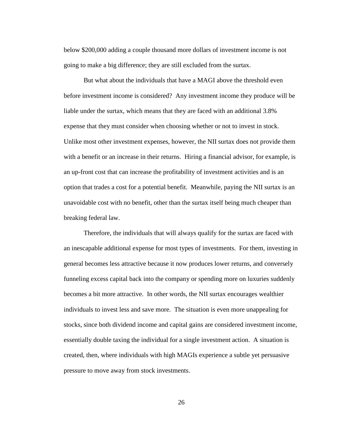below \$200,000 adding a couple thousand more dollars of investment income is not going to make a big difference; they are still excluded from the surtax.

But what about the individuals that have a MAGI above the threshold even before investment income is considered? Any investment income they produce will be liable under the surtax, which means that they are faced with an additional 3.8% expense that they must consider when choosing whether or not to invest in stock. Unlike most other investment expenses, however, the NII surtax does not provide them with a benefit or an increase in their returns. Hiring a financial advisor, for example, is an up-front cost that can increase the profitability of investment activities and is an option that trades a cost for a potential benefit. Meanwhile, paying the NII surtax is an unavoidable cost with no benefit, other than the surtax itself being much cheaper than breaking federal law.

Therefore, the individuals that will always qualify for the surtax are faced with an inescapable additional expense for most types of investments. For them, investing in general becomes less attractive because it now produces lower returns, and conversely funneling excess capital back into the company or spending more on luxuries suddenly becomes a bit more attractive. In other words, the NII surtax encourages wealthier individuals to invest less and save more. The situation is even more unappealing for stocks, since both dividend income and capital gains are considered investment income, essentially double taxing the individual for a single investment action. A situation is created, then, where individuals with high MAGIs experience a subtle yet persuasive pressure to move away from stock investments.

26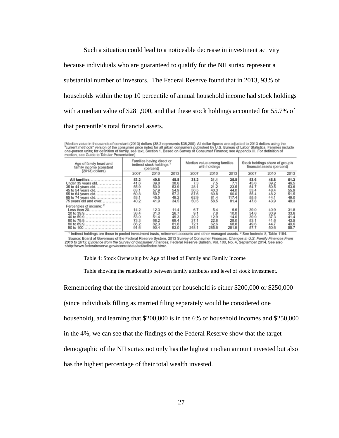Such a situation could lead to a noticeable decrease in investment activity because individuals who are guaranteed to qualify for the NII surtax represent a substantial number of investors. The Federal Reserve found that in 2013, 93% of households within the top 10 percentile of annual household income had stock holdings with a median value of \$281,900, and that these stock holdings accounted for 55.7% of that percentile's total financial assets.

[Median value in thousands of constant (2013) dollars (38.2 represents \$38,200). All dollar figures are adjusted to 2013 dollars using the<br>"current methods" version of the consumer price index for all urban consumers publi median, see Guide to Tabular Presentation]

| Age of family head and<br>family income (constant<br>$(2013)$ dollars)                                                                                   | Families having direct or<br>indirect stock holdings<br>(percent) |                                                      | Median value among families<br>with holdings         |                                                     |                                                     | Stock holdings share of group's<br>financial assets (percent) |                                                      |                                                      |                                                      |
|----------------------------------------------------------------------------------------------------------------------------------------------------------|-------------------------------------------------------------------|------------------------------------------------------|------------------------------------------------------|-----------------------------------------------------|-----------------------------------------------------|---------------------------------------------------------------|------------------------------------------------------|------------------------------------------------------|------------------------------------------------------|
|                                                                                                                                                          | 2007                                                              | 2010                                                 | 2013                                                 | 2007                                                | 2010                                                | 2013                                                          | 2007                                                 | 2010                                                 | 2013                                                 |
| All families.<br><br>Under 35 years old<br>35 to 44 years old<br>45 to 54 years old<br>55 to 64 years old<br>65 to 74 years old<br>75 years old and over | 53.2<br>41.6<br>55.9<br>63.1<br>60.8<br>53.1<br>40.2              | 49.8<br>39.8<br>50.0<br>57.9<br>59.7<br>45.5<br>41.9 | 48.8<br>38.6<br>53.9<br>54.9<br>57.2<br>49.2<br>34.5 | 38.2<br>7.3<br>28.1<br>50.5<br>87.6<br>62.9<br>50.5 | 31.1<br>7.5<br>21.2<br>40.3<br>60.8<br>81.4<br>58.5 | 35.8<br>7.1<br>23.5<br>44.0<br>60.0<br>117.4<br>81.4          | 53.6<br>45.6<br>54.7<br>53.4<br>55.4<br>55.5<br>47.8 | 46.8<br>39.2<br>50.5<br>48.4<br>48.2<br>44.1<br>43.9 | 51.3<br>46.5<br>53.6<br>55.9<br>51.5<br>49.0<br>48.3 |
| Percentiles of income: 2<br>Less than 20<br>20 to 39.9<br>40 to 59.9.<br>60 to 79.9<br>80 to 89.9<br>90 to 100.                                          | 14.2<br>36.4<br>53.0<br>73.3<br>86.2<br>91.6                      | 12.3<br>31.0<br>51.4<br>68.2<br>82.3<br>90.4         | 11.4<br>26.7<br>49.3<br>69.4<br>81.8<br>93.0         | 6.79.1<br>20.2<br>37.1<br>72.1<br>248.1             | $\frac{5.4}{7.8}$<br>12.9<br>22.8<br>62.6<br>285.6  | 6.6<br>10.0<br>14.0<br>28.0<br>68.8<br>281.9                  | 39.0<br>34.6<br>39.9<br>53.1<br>49.6<br>57.7         | 40.9<br>30.9<br>37.3<br>41.6<br>44.7<br>50.6         | 31.8<br>33.6<br>41.4<br>43.5<br>49.6<br>55.7         |

Indirect holdings are those in pooled investment trusts, retirement accounts and other managed assets. <sup>2</sup> See footnote 8, Table 1184. Source: Board of Governors of the Federal Reserve System, 2013 Survey of Consumer Finances, Changes in U.S. Family Finances From 2010 to 2013: Evidence from the Survey of Consumer Finances, Federal Reserve Bulletin, Vol. 1 <http://www.federalreserve.gov/econresdata/scf/scfindex.htm>.

<span id="page-34-0"></span>Table 4: Stock Ownership by Age of Head of Family and Family Income

Table showing the relationship between family attributes and level of stock investment.

Remembering that the threshold amount per household is either \$200,000 or \$250,000

(since individuals filling as married filing separately would be considered one

household), and learning that \$200,000 is in the 6% of household incomes and \$250,000

in the 4%, we can see that the findings of the Federal Reserve show that the target

demographic of the NII surtax not only has the highest median amount invested but also

has the highest percentage of their total wealth invested.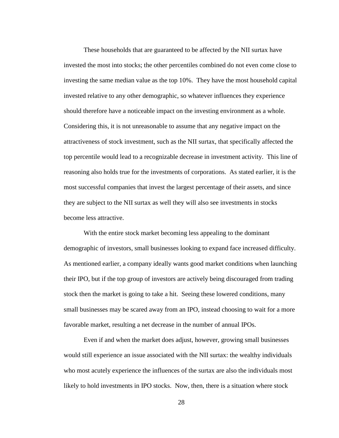These households that are guaranteed to be affected by the NII surtax have invested the most into stocks; the other percentiles combined do not even come close to investing the same median value as the top 10%. They have the most household capital invested relative to any other demographic, so whatever influences they experience should therefore have a noticeable impact on the investing environment as a whole. Considering this, it is not unreasonable to assume that any negative impact on the attractiveness of stock investment, such as the NII surtax, that specifically affected the top percentile would lead to a recognizable decrease in investment activity. This line of reasoning also holds true for the investments of corporations. As stated earlier, it is the most successful companies that invest the largest percentage of their assets, and since they are subject to the NII surtax as well they will also see investments in stocks become less attractive.

With the entire stock market becoming less appealing to the dominant demographic of investors, small businesses looking to expand face increased difficulty. As mentioned earlier, a company ideally wants good market conditions when launching their IPO, but if the top group of investors are actively being discouraged from trading stock then the market is going to take a hit. Seeing these lowered conditions, many small businesses may be scared away from an IPO, instead choosing to wait for a more favorable market, resulting a net decrease in the number of annual IPOs.

Even if and when the market does adjust, however, growing small businesses would still experience an issue associated with the NII surtax: the wealthy individuals who most acutely experience the influences of the surtax are also the individuals most likely to hold investments in IPO stocks. Now, then, there is a situation where stock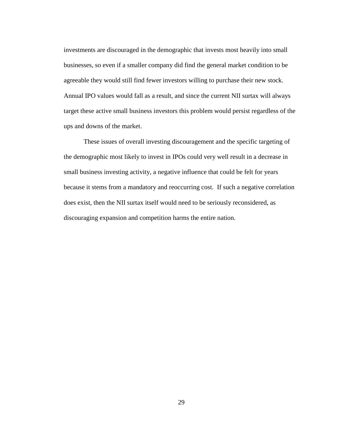investments are discouraged in the demographic that invests most heavily into small businesses, so even if a smaller company did find the general market condition to be agreeable they would still find fewer investors willing to purchase their new stock. Annual IPO values would fall as a result, and since the current NII surtax will always target these active small business investors this problem would persist regardless of the ups and downs of the market.

These issues of overall investing discouragement and the specific targeting of the demographic most likely to invest in IPOs could very well result in a decrease in small business investing activity, a negative influence that could be felt for years because it stems from a mandatory and reoccurring cost. If such a negative correlation does exist, then the NII surtax itself would need to be seriously reconsidered, as discouraging expansion and competition harms the entire nation.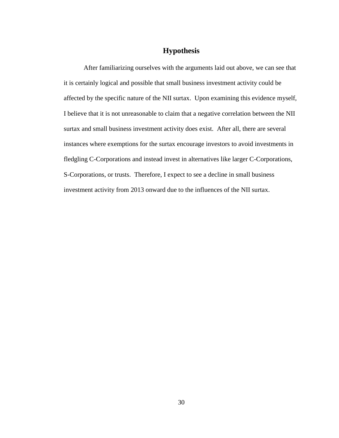# **Hypothesis**

After familiarizing ourselves with the arguments laid out above, we can see that it is certainly logical and possible that small business investment activity could be affected by the specific nature of the NII surtax. Upon examining this evidence myself, I believe that it is not unreasonable to claim that a negative correlation between the NII surtax and small business investment activity does exist. After all, there are several instances where exemptions for the surtax encourage investors to avoid investments in fledgling C-Corporations and instead invest in alternatives like larger C-Corporations, S-Corporations, or trusts. Therefore, I expect to see a decline in small business investment activity from 2013 onward due to the influences of the NII surtax.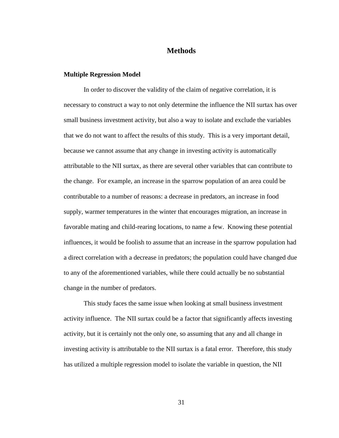# **Methods**

### **Multiple Regression Model**

In order to discover the validity of the claim of negative correlation, it is necessary to construct a way to not only determine the influence the NII surtax has over small business investment activity, but also a way to isolate and exclude the variables that we do not want to affect the results of this study. This is a very important detail, because we cannot assume that any change in investing activity is automatically attributable to the NII surtax, as there are several other variables that can contribute to the change. For example, an increase in the sparrow population of an area could be contributable to a number of reasons: a decrease in predators, an increase in food supply, warmer temperatures in the winter that encourages migration, an increase in favorable mating and child-rearing locations, to name a few. Knowing these potential influences, it would be foolish to assume that an increase in the sparrow population had a direct correlation with a decrease in predators; the population could have changed due to any of the aforementioned variables, while there could actually be no substantial change in the number of predators.

This study faces the same issue when looking at small business investment activity influence. The NII surtax could be a factor that significantly affects investing activity, but it is certainly not the only one, so assuming that any and all change in investing activity is attributable to the NII surtax is a fatal error. Therefore, this study has utilized a multiple regression model to isolate the variable in question, the NII

31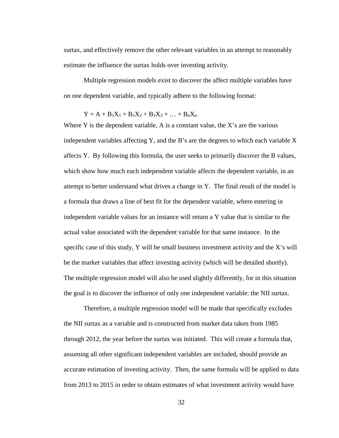surtax, and effectively remove the other relevant variables in an attempt to reasonably estimate the influence the surtax holds over investing activity.

Multiple regression models exist to discover the affect multiple variables have on one dependent variable, and typically adhere to the following format:

$$
Y = A + B_1X_1 + B_2X_2 + B_3X_3 + \ldots + B_nX_n
$$

Where Y is the dependent variable, A is a constant value, the X's are the various independent variables affecting Y, and the B's are the degrees to which each variable X affects Y. By following this formula, the user seeks to primarily discover the B values, which show how much each independent variable affects the dependent variable, in an attempt to better understand what drives a change in Y. The final result of the model is a formula that draws a line of best fit for the dependent variable, where entering in independent variable values for an instance will return a Y value that is similar to the actual value associated with the dependent variable for that same instance. In the specific case of this study, Y will be small business investment activity and the X's will be the market variables that affect investing activity (which will be detailed shortly). The multiple regression model will also be used slightly differently, for in this situation the goal is to discover the influence of only one independent variable: the NII surtax.

Therefore, a multiple regression model will be made that specifically excludes the NII surtax as a variable and is constructed from market data taken from 1985 through 2012, the year before the surtax was initiated. This will create a formula that, assuming all other significant independent variables are included, should provide an accurate estimation of investing activity. Then, the same formula will be applied to data from 2013 to 2015 in order to obtain estimates of what investment activity would have

32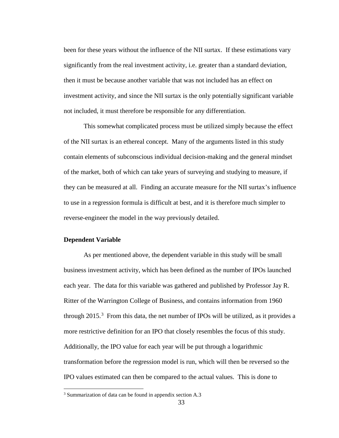been for these years without the influence of the NII surtax. If these estimations vary significantly from the real investment activity, i.e. greater than a standard deviation, then it must be because another variable that was not included has an effect on investment activity, and since the NII surtax is the only potentially significant variable not included, it must therefore be responsible for any differentiation.

This somewhat complicated process must be utilized simply because the effect of the NII surtax is an ethereal concept. Many of the arguments listed in this study contain elements of subconscious individual decision-making and the general mindset of the market, both of which can take years of surveying and studying to measure, if they can be measured at all. Finding an accurate measure for the NII surtax's influence to use in a regression formula is difficult at best, and it is therefore much simpler to reverse-engineer the model in the way previously detailed.

### **Dependent Variable**

As per mentioned above, the dependent variable in this study will be small business investment activity, which has been defined as the number of IPOs launched each year. The data for this variable was gathered and published by Professor Jay R. Ritter of the Warrington College of Business, and contains information from 1960 through 2015. [3](#page-40-0) From this data, the net number of IPOs will be utilized, as it provides a more restrictive definition for an IPO that closely resembles the focus of this study. Additionally, the IPO value for each year will be put through a logarithmic transformation before the regression model is run, which will then be reversed so the IPO values estimated can then be compared to the actual values. This is done to

<span id="page-40-0"></span><sup>3</sup> Summarization of data can be found in appendix section A.3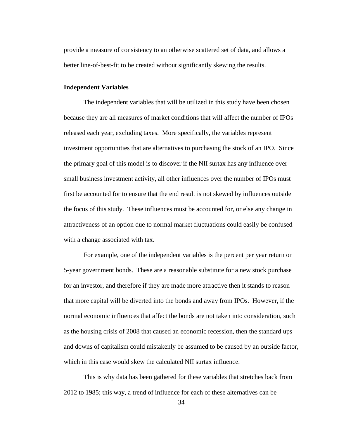provide a measure of consistency to an otherwise scattered set of data, and allows a better line-of-best-fit to be created without significantly skewing the results.

#### **Independent Variables**

The independent variables that will be utilized in this study have been chosen because they are all measures of market conditions that will affect the number of IPOs released each year, excluding taxes. More specifically, the variables represent investment opportunities that are alternatives to purchasing the stock of an IPO. Since the primary goal of this model is to discover if the NII surtax has any influence over small business investment activity, all other influences over the number of IPOs must first be accounted for to ensure that the end result is not skewed by influences outside the focus of this study. These influences must be accounted for, or else any change in attractiveness of an option due to normal market fluctuations could easily be confused with a change associated with tax.

For example, one of the independent variables is the percent per year return on 5-year government bonds. These are a reasonable substitute for a new stock purchase for an investor, and therefore if they are made more attractive then it stands to reason that more capital will be diverted into the bonds and away from IPOs. However, if the normal economic influences that affect the bonds are not taken into consideration, such as the housing crisis of 2008 that caused an economic recession, then the standard ups and downs of capitalism could mistakenly be assumed to be caused by an outside factor, which in this case would skew the calculated NII surtax influence.

This is why data has been gathered for these variables that stretches back from 2012 to 1985; this way, a trend of influence for each of these alternatives can be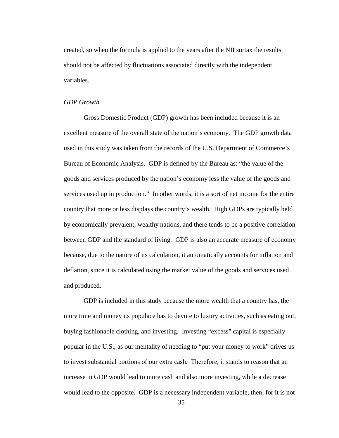created, so when the formula is applied to the years after the NII surtax the results should not be affected by fluctuations associated directly with the independent variables.

#### *GDP Growth*

Gross Domestic Product (GDP) growth has been included because it is an excellent measure of the overall state of the nation's economy. The GDP growth data used in this study was taken from the records of the U.S. Department of Commerce's Bureau of Economic Analysis. GDP is defined by the Bureau as: "the value of the goods and services produced by the nation's economy less the value of the goods and services used up in production." In other words, it is a sort of net income for the entire country that more or less displays the country's wealth. High GDPs are typically held by economically prevalent, wealthy nations, and there tends to be a positive correlation between GDP and the standard of living. GDP is also an accurate measure of economy because, due to the nature of its calculation, it automatically accounts for inflation and deflation, since it is calculated using the market value of the goods and services used and produced.

GDP is included in this study because the more wealth that a country has, the more time and money its populace has to devote to luxury activities, such as eating out, buying fashionable clothing, and investing. Investing "excess" capital is especially popular in the U.S., as our mentality of needing to "put your money to work" drives us to invest substantial portions of our extra cash. Therefore, it stands to reason that an increase in GDP would lead to more cash and also more investing, while a decrease would lead to the opposite. GDP is a necessary independent variable, then, for it is not

35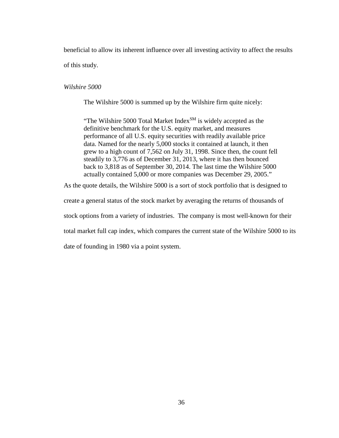beneficial to allow its inherent influence over all investing activity to affect the results of this study.

### *Wilshire 5000*

The Wilshire 5000 is summed up by the Wilshire firm quite nicely:

"The Wilshire 5000 Total Market Index $^{SM}$  is widely accepted as the definitive benchmark for the U.S. equity market, and measures performance of all U.S. equity securities with readily available price data. Named for the nearly 5,000 stocks it contained at launch, it then grew to a high count of 7,562 on July 31, 1998. Since then, the count fell steadily to 3,776 as of December 31, 2013, where it has then bounced back to 3,818 as of September 30, 2014. The last time the Wilshire 5000 actually contained 5,000 or more companies was December 29, 2005."

As the quote details, the Wilshire 5000 is a sort of stock portfolio that is designed to

create a general status of the stock market by averaging the returns of thousands of

stock options from a variety of industries. The company is most well-known for their

total market full cap index, which compares the current state of the Wilshire 5000 to its

date of founding in 1980 via a point system.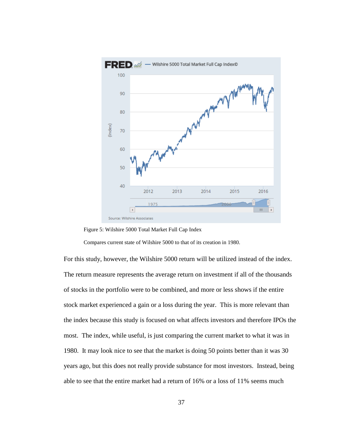

Figure 5: Wilshire 5000 Total Market Full Cap Index

Compares current state of Wilshire 5000 to that of its creation in 1980.

For this study, however, the Wilshire 5000 return will be utilized instead of the index. The return measure represents the average return on investment if all of the thousands of stocks in the portfolio were to be combined, and more or less shows if the entire stock market experienced a gain or a loss during the year. This is more relevant than the index because this study is focused on what affects investors and therefore IPOs the most. The index, while useful, is just comparing the current market to what it was in 1980. It may look nice to see that the market is doing 50 points better than it was 30 years ago, but this does not really provide substance for most investors. Instead, being able to see that the entire market had a return of 16% or a loss of 11% seems much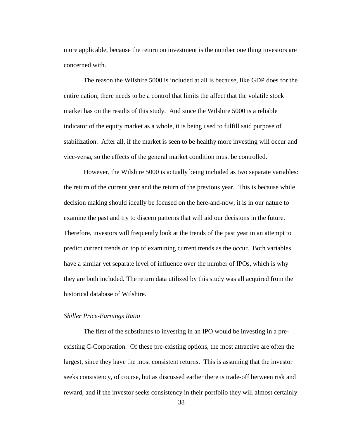more applicable, because the return on investment is the number one thing investors are concerned with.

The reason the Wilshire 5000 is included at all is because, like GDP does for the entire nation, there needs to be a control that limits the affect that the volatile stock market has on the results of this study. And since the Wilshire 5000 is a reliable indicator of the equity market as a whole, it is being used to fulfill said purpose of stabilization. After all, if the market is seen to be healthy more investing will occur and vice-versa, so the effects of the general market condition must be controlled.

However, the Wilshire 5000 is actually being included as two separate variables: the return of the current year and the return of the previous year. This is because while decision making should ideally be focused on the here-and-now, it is in our nature to examine the past and try to discern patterns that will aid our decisions in the future. Therefore, investors will frequently look at the trends of the past year in an attempt to predict current trends on top of examining current trends as the occur. Both variables have a similar yet separate level of influence over the number of IPOs, which is why they are both included. The return data utilized by this study was all acquired from the historical database of Wilshire.

# *Shiller Price-Earnings Ratio*

The first of the substitutes to investing in an IPO would be investing in a preexisting C-Corporation. Of these pre-existing options, the most attractive are often the largest, since they have the most consistent returns. This is assuming that the investor seeks consistency, of course, but as discussed earlier there is trade-off between risk and reward, and if the investor seeks consistency in their portfolio they will almost certainly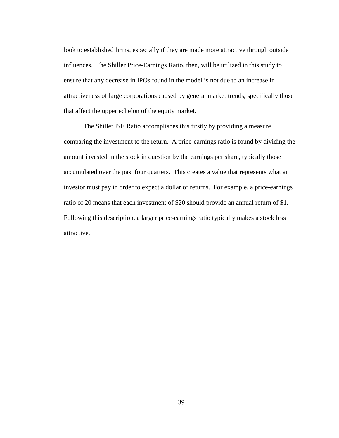look to established firms, especially if they are made more attractive through outside influences. The Shiller Price-Earnings Ratio, then, will be utilized in this study to ensure that any decrease in IPOs found in the model is not due to an increase in attractiveness of large corporations caused by general market trends, specifically those that affect the upper echelon of the equity market.

The Shiller P/E Ratio accomplishes this firstly by providing a measure comparing the investment to the return. A price-earnings ratio is found by dividing the amount invested in the stock in question by the earnings per share, typically those accumulated over the past four quarters. This creates a value that represents what an investor must pay in order to expect a dollar of returns. For example, a price-earnings ratio of 20 means that each investment of \$20 should provide an annual return of \$1. Following this description, a larger price-earnings ratio typically makes a stock less attractive.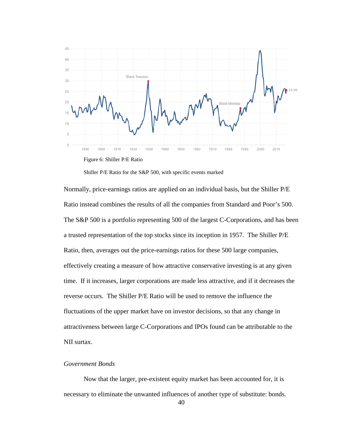

Shiller P/E Ratio for the S&P 500, with specific events marked

Normally, price-earnings ratios are applied on an individual basis, but the Shiller P/E Ratio instead combines the results of all the companies from Standard and Poor's 500. The S&P 500 is a portfolio representing 500 of the largest C-Corporations, and has been a trusted representation of the top stocks since its inception in 1957. The Shiller P/E Ratio, then, averages out the price-earnings ratios for these 500 large companies, effectively creating a measure of how attractive conservative investing is at any given time. If it increases, larger corporations are made less attractive, and if it decreases the reverse occurs. The Shiller P/E Ratio will be used to remove the influence the fluctuations of the upper market have on investor decisions, so that any change in attractiveness between large C-Corporations and IPOs found can be attributable to the NII surtax.

#### *Government Bonds*

Now that the larger, pre-existent equity market has been accounted for, it is necessary to eliminate the unwanted influences of another type of substitute: bonds.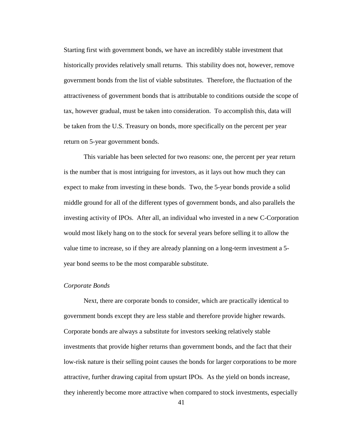Starting first with government bonds, we have an incredibly stable investment that historically provides relatively small returns. This stability does not, however, remove government bonds from the list of viable substitutes. Therefore, the fluctuation of the attractiveness of government bonds that is attributable to conditions outside the scope of tax, however gradual, must be taken into consideration. To accomplish this, data will be taken from the U.S. Treasury on bonds, more specifically on the percent per year return on 5-year government bonds.

This variable has been selected for two reasons: one, the percent per year return is the number that is most intriguing for investors, as it lays out how much they can expect to make from investing in these bonds. Two, the 5-year bonds provide a solid middle ground for all of the different types of government bonds, and also parallels the investing activity of IPOs. After all, an individual who invested in a new C-Corporation would most likely hang on to the stock for several years before selling it to allow the value time to increase, so if they are already planning on a long-term investment a 5 year bond seems to be the most comparable substitute.

# *Corporate Bonds*

Next, there are corporate bonds to consider, which are practically identical to government bonds except they are less stable and therefore provide higher rewards. Corporate bonds are always a substitute for investors seeking relatively stable investments that provide higher returns than government bonds, and the fact that their low-risk nature is their selling point causes the bonds for larger corporations to be more attractive, further drawing capital from upstart IPOs. As the yield on bonds increase, they inherently become more attractive when compared to stock investments, especially

41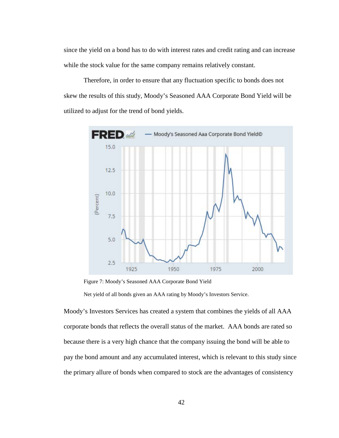since the yield on a bond has to do with interest rates and credit rating and can increase while the stock value for the same company remains relatively constant.

Therefore, in order to ensure that any fluctuation specific to bonds does not skew the results of this study, Moody's Seasoned AAA Corporate Bond Yield will be utilized to adjust for the trend of bond yields.



Figure 7: Moody's Seasoned AAA Corporate Bond Yield

Net yield of all bonds given an AAA rating by Moody's Investors Service.

Moody's Investors Services has created a system that combines the yields of all AAA corporate bonds that reflects the overall status of the market. AAA bonds are rated so because there is a very high chance that the company issuing the bond will be able to pay the bond amount and any accumulated interest, which is relevant to this study since the primary allure of bonds when compared to stock are the advantages of consistency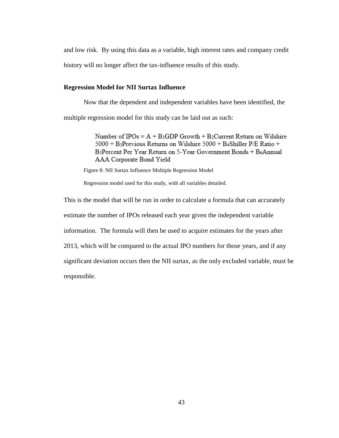and low risk. By using this data as a variable, high interest rates and company credit

history will no longer affect the tax-influence results of this study.

#### **Regression Model for NII Surtax Influence**

Now that the dependent and independent variables have been identified, the multiple regression model for this study can be laid out as such:

> Number of IPOs =  $A + B$ <sub>1</sub>GDP Growth + B<sub>2</sub>Current Return on Wilshire 5000 + B3Previous Returns on Wilshire 5000 + B4Shiller P/E Ratio + B<sub>5</sub>Percent Per Year Return on 5-Year Government Bonds + B6Annual AAA Corporate Bond Yield

Figure 8: NII Surtax Influence Multiple Regression Model

Regression model used for this study, with all variables detailed.

This is the model that will be run in order to calculate a formula that can accurately estimate the number of IPOs released each year given the independent variable information. The formula will then be used to acquire estimates for the years after 2013, which will be compared to the actual IPO numbers for those years, and if any significant deviation occurs then the NII surtax, as the only excluded variable, must be responsible.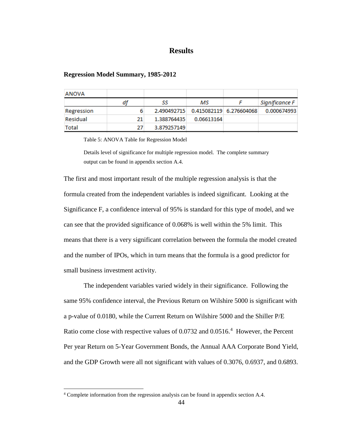# **Results**

### **Regression Model Summary, 1985-2012**

| <b>ANOVA</b> |    |             |            |                         |                |
|--------------|----|-------------|------------|-------------------------|----------------|
|              | df | SS          | мs         |                         | Significance F |
| Regression   |    | 2.490492715 |            | 0.415082119 6.276604068 | 0.000674993    |
| Residual     | 21 | 1.388764435 | 0.06613164 |                         |                |
| Total        | 27 | 3.879257149 |            |                         |                |

Table 5: ANOVA Table for Regression Model

Details level of significance for multiple regression model. The complete summary output can be found in appendix section A.4.

The first and most important result of the multiple regression analysis is that the formula created from the independent variables is indeed significant. Looking at the Significance F, a confidence interval of 95% is standard for this type of model, and we can see that the provided significance of 0.068% is well within the 5% limit. This means that there is a very significant correlation between the formula the model created and the number of IPOs, which in turn means that the formula is a good predictor for small business investment activity.

The independent variables varied widely in their significance. Following the same 95% confidence interval, the Previous Return on Wilshire 5000 is significant with a p-value of 0.0180, while the Current Return on Wilshire 5000 and the Shiller P/E Ratio come close with respective values of 0.0732 and 0.0516.<sup>[4](#page-51-0)</sup> However, the Percent Per year Return on 5-Year Government Bonds, the Annual AAA Corporate Bond Yield, and the GDP Growth were all not significant with values of 0.3076, 0.6937, and 0.6893.

<span id="page-51-0"></span><sup>4</sup> Complete information from the regression analysis can be found in appendix section A.4.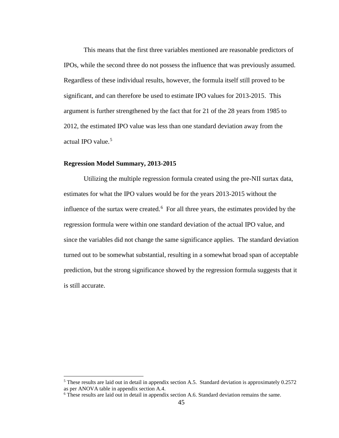This means that the first three variables mentioned are reasonable predictors of IPOs, while the second three do not possess the influence that was previously assumed. Regardless of these individual results, however, the formula itself still proved to be significant, and can therefore be used to estimate IPO values for 2013-2015. This argument is further strengthened by the fact that for 21 of the 28 years from 1985 to 2012, the estimated IPO value was less than one standard deviation away from the actual IPO value.<sup>[5](#page-52-0)</sup>

### **Regression Model Summary, 2013-2015**

Utilizing the multiple regression formula created using the pre-NII surtax data, estimates for what the IPO values would be for the years 2013-2015 without the influence of the surtax were created.<sup>[6](#page-52-1)</sup> For all three years, the estimates provided by the regression formula were within one standard deviation of the actual IPO value, and since the variables did not change the same significance applies. The standard deviation turned out to be somewhat substantial, resulting in a somewhat broad span of acceptable prediction, but the strong significance showed by the regression formula suggests that it is still accurate.

<span id="page-52-0"></span><sup>5</sup> These results are laid out in detail in appendix section A.5. Standard deviation is approximately 0.2572 as per ANOVA table in appendix section A.4.

<span id="page-52-1"></span><sup>6</sup> These results are laid out in detail in appendix section A.6. Standard deviation remains the same.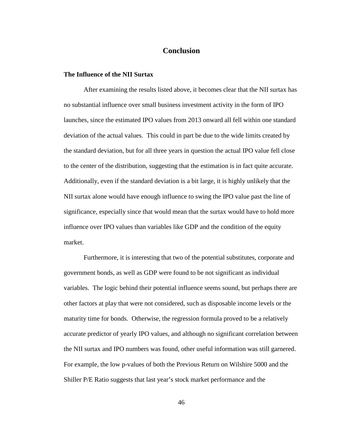# **Conclusion**

#### **The Influence of the NII Surtax**

After examining the results listed above, it becomes clear that the NII surtax has no substantial influence over small business investment activity in the form of IPO launches, since the estimated IPO values from 2013 onward all fell within one standard deviation of the actual values. This could in part be due to the wide limits created by the standard deviation, but for all three years in question the actual IPO value fell close to the center of the distribution, suggesting that the estimation is in fact quite accurate. Additionally, even if the standard deviation is a bit large, it is highly unlikely that the NII surtax alone would have enough influence to swing the IPO value past the line of significance, especially since that would mean that the surtax would have to hold more influence over IPO values than variables like GDP and the condition of the equity market.

Furthermore, it is interesting that two of the potential substitutes, corporate and government bonds, as well as GDP were found to be not significant as individual variables. The logic behind their potential influence seems sound, but perhaps there are other factors at play that were not considered, such as disposable income levels or the maturity time for bonds. Otherwise, the regression formula proved to be a relatively accurate predictor of yearly IPO values, and although no significant correlation between the NII surtax and IPO numbers was found, other useful information was still garnered. For example, the low p-values of both the Previous Return on Wilshire 5000 and the Shiller P/E Ratio suggests that last year's stock market performance and the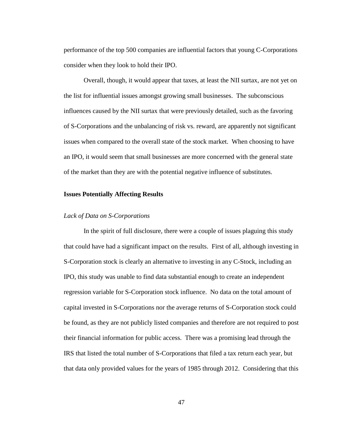performance of the top 500 companies are influential factors that young C-Corporations consider when they look to hold their IPO.

Overall, though, it would appear that taxes, at least the NII surtax, are not yet on the list for influential issues amongst growing small businesses. The subconscious influences caused by the NII surtax that were previously detailed, such as the favoring of S-Corporations and the unbalancing of risk vs. reward, are apparently not significant issues when compared to the overall state of the stock market. When choosing to have an IPO, it would seem that small businesses are more concerned with the general state of the market than they are with the potential negative influence of substitutes.

#### **Issues Potentially Affecting Results**

### *Lack of Data on S-Corporations*

In the spirit of full disclosure, there were a couple of issues plaguing this study that could have had a significant impact on the results. First of all, although investing in S-Corporation stock is clearly an alternative to investing in any C-Stock, including an IPO, this study was unable to find data substantial enough to create an independent regression variable for S-Corporation stock influence. No data on the total amount of capital invested in S-Corporations nor the average returns of S-Corporation stock could be found, as they are not publicly listed companies and therefore are not required to post their financial information for public access. There was a promising lead through the IRS that listed the total number of S-Corporations that filed a tax return each year, but that data only provided values for the years of 1985 through 2012. Considering that this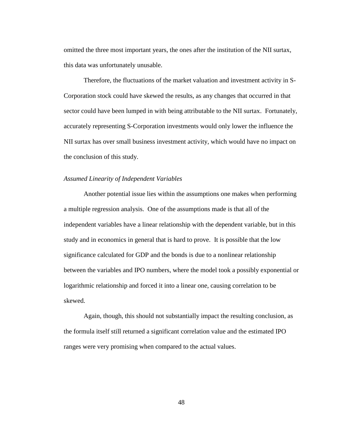omitted the three most important years, the ones after the institution of the NII surtax, this data was unfortunately unusable.

Therefore, the fluctuations of the market valuation and investment activity in S-Corporation stock could have skewed the results, as any changes that occurred in that sector could have been lumped in with being attributable to the NII surtax. Fortunately, accurately representing S-Corporation investments would only lower the influence the NII surtax has over small business investment activity, which would have no impact on the conclusion of this study.

#### *Assumed Linearity of Independent Variables*

Another potential issue lies within the assumptions one makes when performing a multiple regression analysis. One of the assumptions made is that all of the independent variables have a linear relationship with the dependent variable, but in this study and in economics in general that is hard to prove. It is possible that the low significance calculated for GDP and the bonds is due to a nonlinear relationship between the variables and IPO numbers, where the model took a possibly exponential or logarithmic relationship and forced it into a linear one, causing correlation to be skewed.

Again, though, this should not substantially impact the resulting conclusion, as the formula itself still returned a significant correlation value and the estimated IPO ranges were very promising when compared to the actual values.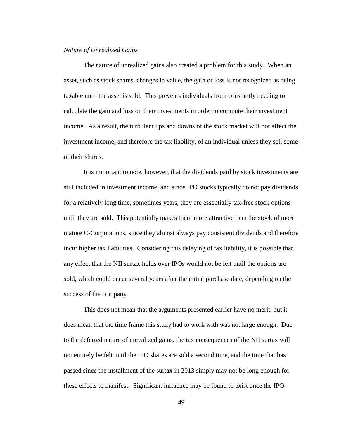# *Nature of Unrealized Gains*

The nature of unrealized gains also created a problem for this study. When an asset, such as stock shares, changes in value, the gain or loss is not recognized as being taxable until the asset is sold. This prevents individuals from constantly needing to calculate the gain and loss on their investments in order to compute their investment income. As a result, the turbulent ups and downs of the stock market will not affect the investment income, and therefore the tax liability, of an individual unless they sell some of their shares.

It is important to note, however, that the dividends paid by stock investments are still included in investment income, and since IPO stocks typically do not pay dividends for a relatively long time, sometimes years, they are essentially tax-free stock options until they are sold. This potentially makes them more attractive than the stock of more mature C-Corporations, since they almost always pay consistent dividends and therefore incur higher tax liabilities. Considering this delaying of tax liability, it is possible that any effect that the NII surtax holds over IPOs would not be felt until the options are sold, which could occur several years after the initial purchase date, depending on the success of the company.

This does not mean that the arguments presented earlier have no merit, but it does mean that the time frame this study had to work with was not large enough. Due to the deferred nature of unrealized gains, the tax consequences of the NII surtax will not entirely be felt until the IPO shares are sold a second time, and the time that has passed since the installment of the surtax in 2013 simply may not be long enough for these effects to manifest. Significant influence may be found to exist once the IPO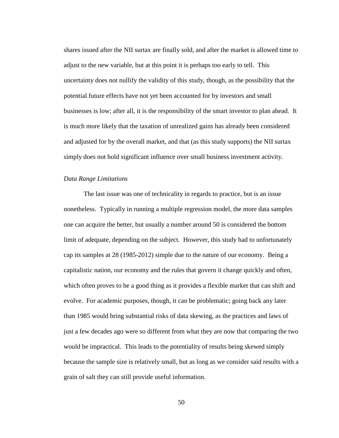shares issued after the NII surtax are finally sold, and after the market is allowed time to adjust to the new variable, but at this point it is perhaps too early to tell. This uncertainty does not nullify the validity of this study, though, as the possibility that the potential future effects have not yet been accounted for by investors and small businesses is low; after all, it is the responsibility of the smart investor to plan ahead. It is much more likely that the taxation of unrealized gains has already been considered and adjusted for by the overall market, and that (as this study supports) the NII surtax simply does not hold significant influence over small business investment activity.

#### *Data Range Limitations*

The last issue was one of technicality in regards to practice, but is an issue nonetheless. Typically in running a multiple regression model, the more data samples one can acquire the better, but usually a number around 50 is considered the bottom limit of adequate, depending on the subject. However, this study had to unfortunately cap its samples at 28 (1985-2012) simple due to the nature of our economy. Being a capitalistic nation, our economy and the rules that govern it change quickly and often, which often proves to be a good thing as it provides a flexible market that can shift and evolve. For academic purposes, though, it can be problematic; going back any later than 1985 would bring substantial risks of data skewing, as the practices and laws of just a few decades ago were so different from what they are now that comparing the two would be impractical. This leads to the potentiality of results being skewed simply because the sample size is relatively small, but as long as we consider said results with a grain of salt they can still provide useful information.

50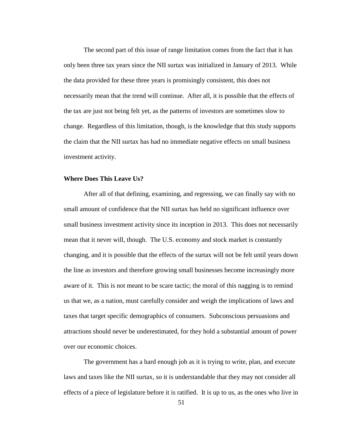The second part of this issue of range limitation comes from the fact that it has only been three tax years since the NII surtax was initialized in January of 2013. While the data provided for these three years is promisingly consistent, this does not necessarily mean that the trend will continue. After all, it is possible that the effects of the tax are just not being felt yet, as the patterns of investors are sometimes slow to change. Regardless of this limitation, though, is the knowledge that this study supports the claim that the NII surtax has had no immediate negative effects on small business investment activity.

#### **Where Does This Leave Us?**

After all of that defining, examining, and regressing, we can finally say with no small amount of confidence that the NII surtax has held no significant influence over small business investment activity since its inception in 2013. This does not necessarily mean that it never will, though. The U.S. economy and stock market is constantly changing, and it is possible that the effects of the surtax will not be felt until years down the line as investors and therefore growing small businesses become increasingly more aware of it. This is not meant to be scare tactic; the moral of this nagging is to remind us that we, as a nation, must carefully consider and weigh the implications of laws and taxes that target specific demographics of consumers. Subconscious persuasions and attractions should never be underestimated, for they hold a substantial amount of power over our economic choices.

The government has a hard enough job as it is trying to write, plan, and execute laws and taxes like the NII surtax, so it is understandable that they may not consider all effects of a piece of legislature before it is ratified. It is up to us, as the ones who live in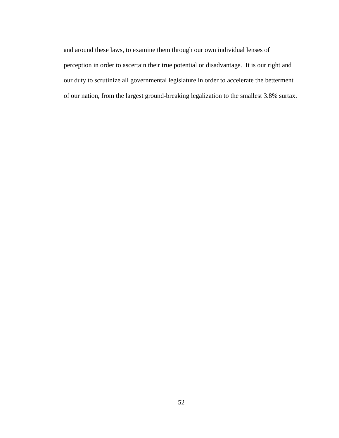and around these laws, to examine them through our own individual lenses of perception in order to ascertain their true potential or disadvantage. It is our right and our duty to scrutinize all governmental legislature in order to accelerate the betterment of our nation, from the largest ground-breaking legalization to the smallest 3.8% surtax.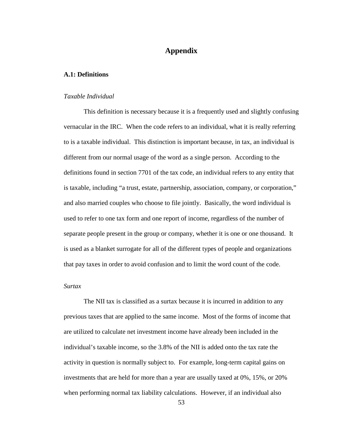# **Appendix**

### **A.1: Definitions**

#### *Taxable Individual*

This definition is necessary because it is a frequently used and slightly confusing vernacular in the IRC. When the code refers to an individual, what it is really referring to is a taxable individual. This distinction is important because, in tax, an individual is different from our normal usage of the word as a single person. According to the definitions found in section 7701 of the tax code, an individual refers to any entity that is taxable, including "a trust, estate, partnership, association, company, or corporation," and also married couples who choose to file jointly. Basically, the word individual is used to refer to one tax form and one report of income, regardless of the number of separate people present in the group or company, whether it is one or one thousand. It is used as a blanket surrogate for all of the different types of people and organizations that pay taxes in order to avoid confusion and to limit the word count of the code.

# *Surtax*

The NII tax is classified as a surtax because it is incurred in addition to any previous taxes that are applied to the same income. Most of the forms of income that are utilized to calculate net investment income have already been included in the individual's taxable income, so the 3.8% of the NII is added onto the tax rate the activity in question is normally subject to. For example, long-term capital gains on investments that are held for more than a year are usually taxed at 0%, 15%, or 20% when performing normal tax liability calculations. However, if an individual also

53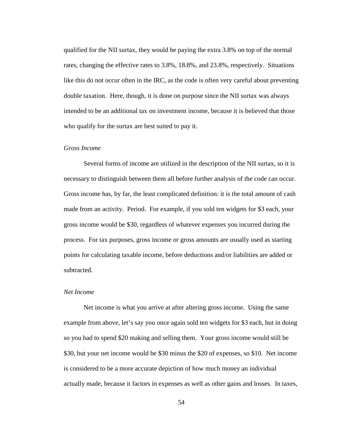qualified for the NII surtax, they would be paying the extra 3.8% on top of the normal rates, changing the effective rates to 3.8%, 18.8%, and 23.8%, respectively. Situations like this do not occur often in the IRC, as the code is often very careful about preventing double taxation. Here, though, it is done on purpose since the NII surtax was always intended to be an additional tax on investment income, because it is believed that those who qualify for the surtax are best suited to pay it.

#### *Gross Income*

Several forms of income are utilized in the description of the NII surtax, so it is necessary to distinguish between them all before further analysis of the code can occur. Gross income has, by far, the least complicated definition: it is the total amount of cash made from an activity. Period. For example, if you sold ten widgets for \$3 each, your gross income would be \$30, regardless of whatever expenses you incurred during the process. For tax purposes, gross income or gross amounts are usually used as starting points for calculating taxable income, before deductions and/or liabilities are added or subtracted.

### *Net Income*

Net income is what you arrive at after altering gross income. Using the same example from above, let's say you once again sold ten widgets for \$3 each, but in doing so you had to spend \$20 making and selling them. Your gross income would still be \$30, but your net income would be \$30 minus the \$20 of expenses, so \$10. Net income is considered to be a more accurate depiction of how much money an individual actually made, because it factors in expenses as well as other gains and losses. In taxes,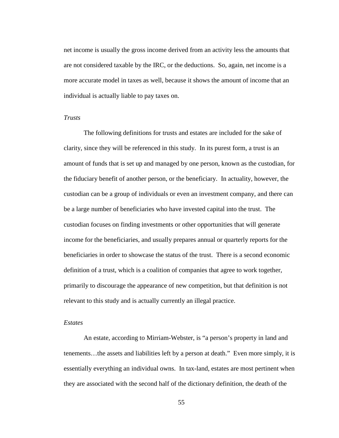net income is usually the gross income derived from an activity less the amounts that are not considered taxable by the IRC, or the deductions. So, again, net income is a more accurate model in taxes as well, because it shows the amount of income that an individual is actually liable to pay taxes on.

### *Trusts*

The following definitions for trusts and estates are included for the sake of clarity, since they will be referenced in this study. In its purest form, a trust is an amount of funds that is set up and managed by one person, known as the custodian, for the fiduciary benefit of another person, or the beneficiary. In actuality, however, the custodian can be a group of individuals or even an investment company, and there can be a large number of beneficiaries who have invested capital into the trust. The custodian focuses on finding investments or other opportunities that will generate income for the beneficiaries, and usually prepares annual or quarterly reports for the beneficiaries in order to showcase the status of the trust. There is a second economic definition of a trust, which is a coalition of companies that agree to work together, primarily to discourage the appearance of new competition, but that definition is not relevant to this study and is actually currently an illegal practice.

#### *Estates*

An estate, according to Mirriam-Webster, is "a person's property in land and tenements…the assets and liabilities left by a person at death." Even more simply, it is essentially everything an individual owns. In tax-land, estates are most pertinent when they are associated with the second half of the dictionary definition, the death of the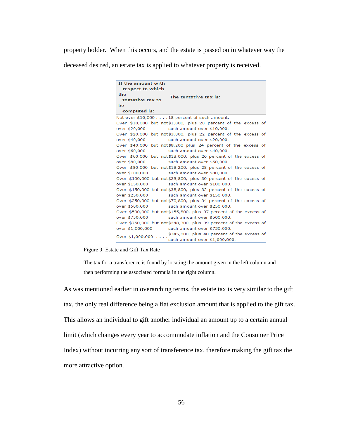property holder. When this occurs, and the estate is passed on in whatever way the

deceased desired, an estate tax is applied to whatever property is received.

| If the amount with                                                                               |  |  |  |  |  |  |
|--------------------------------------------------------------------------------------------------|--|--|--|--|--|--|
| respect to which                                                                                 |  |  |  |  |  |  |
| the<br>The tentative tax is:                                                                     |  |  |  |  |  |  |
| tentative tax to                                                                                 |  |  |  |  |  |  |
| <b>be</b>                                                                                        |  |  |  |  |  |  |
| computed is:                                                                                     |  |  |  |  |  |  |
| Not over \$10,000 18 percent of such amount.                                                     |  |  |  |  |  |  |
| Over \$10,000 but not \$1,800, plus 20 percent of the excess of                                  |  |  |  |  |  |  |
| such amount over \$10,000.<br>over \$20,000                                                      |  |  |  |  |  |  |
| Over \$20,000 but not \$3,800, plus 22 percent of the excess of                                  |  |  |  |  |  |  |
| such amount over \$20,000.<br>over \$40,000                                                      |  |  |  |  |  |  |
| Over \$40,000 but not \$8,200 plus 24 percent of the excess of                                   |  |  |  |  |  |  |
| over \$60,000<br>such amount over \$40,000.                                                      |  |  |  |  |  |  |
| Over \$60,000 but not \$13,000, plus 26 percent of the excess of                                 |  |  |  |  |  |  |
| such amount over \$60,000.<br>over \$80,000                                                      |  |  |  |  |  |  |
| Over \$80,000 but not \$18,200, plus 28 percent of the excess of                                 |  |  |  |  |  |  |
| such amount over \$80,000.<br>over \$100,000                                                     |  |  |  |  |  |  |
| Over \$100,000 but not \$23,800, plus 30 percent of the excess of                                |  |  |  |  |  |  |
| over \$150,000<br>such amount over \$100,000.                                                    |  |  |  |  |  |  |
| Over \$150,000 but not \$38,800, plus 32 percent of the excess of                                |  |  |  |  |  |  |
| such amount over \$150,000.<br>over \$250,000                                                    |  |  |  |  |  |  |
| Over \$250,000 but not \$70,800, plus 34 percent of the excess of                                |  |  |  |  |  |  |
| such amount over \$250,000.<br>over \$500,000                                                    |  |  |  |  |  |  |
| Over \$500,000 but not \$155,800, plus 37 percent of the excess of                               |  |  |  |  |  |  |
| such amount over \$500,000.<br>over \$750,000                                                    |  |  |  |  |  |  |
| Over \$750,000 but not \$248,300, plus 39 percent of the excess of                               |  |  |  |  |  |  |
| over \$1,000,000<br>such amount over \$750,000.                                                  |  |  |  |  |  |  |
| \$345,800, plus 40 percent of the excess of<br>Over \$1,000,000<br>such amount over \$1,000,000. |  |  |  |  |  |  |

Figure 9: Estate and Gift Tax Rate

The tax for a transference is found by locating the amount given in the left column and then performing the associated formula in the right column.

As was mentioned earlier in overarching terms, the estate tax is very similar to the gift tax, the only real difference being a flat exclusion amount that is applied to the gift tax. This allows an individual to gift another individual an amount up to a certain annual limit (which changes every year to accommodate inflation and the Consumer Price Index) without incurring any sort of transference tax, therefore making the gift tax the more attractive option.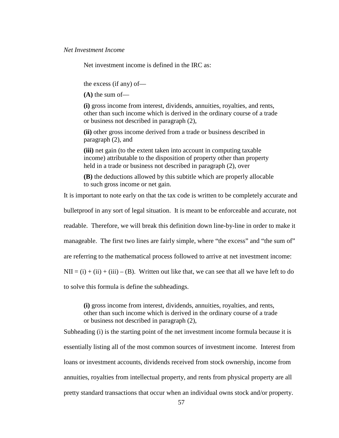Net investment income is defined in the IRC as:

the excess (if any) of—

**(A)** the sum of—

**(i)** gross income from interest, dividends, annuities, royalties, and rents, other than such income which is derived in the ordinary course of a trade or business not described in paragraph (2),

**(ii)** other gross income derived from a trade or business described in paragraph (2), and

**(iii)** net gain (to the extent taken into account in computing taxable income) attributable to the disposition of property other than property held in a trade or business not described in paragraph (2), over

**(B)** the deductions allowed by this subtitle which are properly allocable to such gross income or net gain.

It is important to note early on that the tax code is written to be completely accurate and

bulletproof in any sort of legal situation. It is meant to be enforceable and accurate, not

readable. Therefore, we will break this definition down line-by-line in order to make it

manageable. The first two lines are fairly simple, where "the excess" and "the sum of"

are referring to the mathematical process followed to arrive at net investment income:

 $NII = (i) + (ii) + (iii) - (B)$ . Written out like that, we can see that all we have left to do

to solve this formula is define the subheadings.

**(i)** gross income from interest, dividends, annuities, royalties, and rents, other than such income which is derived in the ordinary course of a trade or business not described in paragraph (2),

Subheading (i) is the starting point of the net investment income formula because it is essentially listing all of the most common sources of investment income. Interest from loans or investment accounts, dividends received from stock ownership, income from annuities, royalties from intellectual property, and rents from physical property are all pretty standard transactions that occur when an individual owns stock and/or property.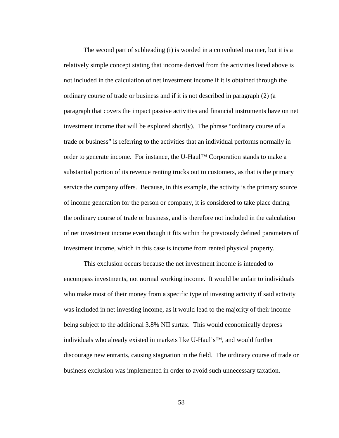The second part of subheading (i) is worded in a convoluted manner, but it is a relatively simple concept stating that income derived from the activities listed above is not included in the calculation of net investment income if it is obtained through the ordinary course of trade or business and if it is not described in paragraph (2) (a paragraph that covers the impact passive activities and financial instruments have on net investment income that will be explored shortly). The phrase "ordinary course of a trade or business" is referring to the activities that an individual performs normally in order to generate income. For instance, the U-Haul™ Corporation stands to make a substantial portion of its revenue renting trucks out to customers, as that is the primary service the company offers. Because, in this example, the activity is the primary source of income generation for the person or company, it is considered to take place during the ordinary course of trade or business, and is therefore not included in the calculation of net investment income even though it fits within the previously defined parameters of investment income, which in this case is income from rented physical property.

This exclusion occurs because the net investment income is intended to encompass investments, not normal working income. It would be unfair to individuals who make most of their money from a specific type of investing activity if said activity was included in net investing income, as it would lead to the majority of their income being subject to the additional 3.8% NII surtax. This would economically depress individuals who already existed in markets like U-Haul's™, and would further discourage new entrants, causing stagnation in the field. The ordinary course of trade or business exclusion was implemented in order to avoid such unnecessary taxation.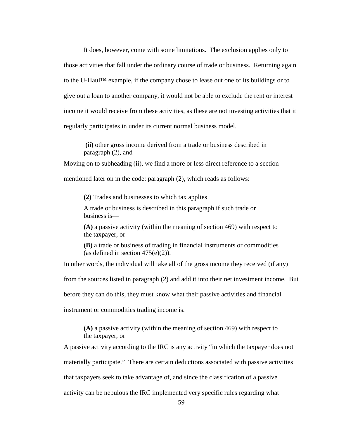It does, however, come with some limitations. The exclusion applies only to those activities that fall under the ordinary course of trade or business. Returning again to the U-Haul™ example, if the company chose to lease out one of its buildings or to give out a loan to another company, it would not be able to exclude the rent or interest income it would receive from these activities, as these are not investing activities that it regularly participates in under its current normal business model.

**(ii)** other gross income derived from a trade or business described in paragraph (2), and

Moving on to subheading (ii), we find a more or less direct reference to a section

mentioned later on in the code: paragraph (2), which reads as follows:

**(2)** Trades and businesses to which tax applies

A trade or business is described in this paragraph if such trade or business is—

**(A)** a passive activity (within the meaning of section 469) with respect to the taxpayer, or

**(B)** a trade or business of trading in financial instruments or commodities (as defined in section  $475(e)(2)$ ).

In other words, the individual will take all of the gross income they received (if any)

from the sources listed in paragraph (2) and add it into their net investment income. But

before they can do this, they must know what their passive activities and financial

instrument or commodities trading income is.

**(A)** a passive activity (within the meaning of section 469) with respect to the taxpayer, or

A passive activity according to the IRC is any activity "in which the taxpayer does not materially participate." There are certain deductions associated with passive activities that taxpayers seek to take advantage of, and since the classification of a passive activity can be nebulous the IRC implemented very specific rules regarding what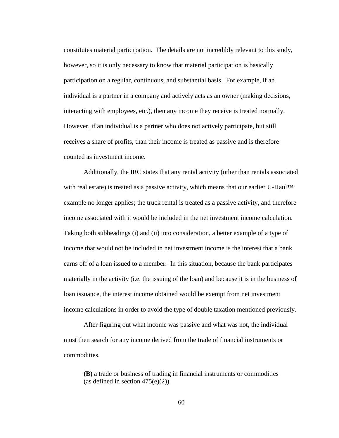constitutes material participation. The details are not incredibly relevant to this study, however, so it is only necessary to know that material participation is basically participation on a regular, continuous, and substantial basis. For example, if an individual is a partner in a company and actively acts as an owner (making decisions, interacting with employees, etc.), then any income they receive is treated normally. However, if an individual is a partner who does not actively participate, but still receives a share of profits, than their income is treated as passive and is therefore counted as investment income.

Additionally, the IRC states that any rental activity (other than rentals associated with real estate) is treated as a passive activity, which means that our earlier U-Haul<sup>TM</sup> example no longer applies; the truck rental is treated as a passive activity, and therefore income associated with it would be included in the net investment income calculation. Taking both subheadings (i) and (ii) into consideration, a better example of a type of income that would not be included in net investment income is the interest that a bank earns off of a loan issued to a member. In this situation, because the bank participates materially in the activity (i.e. the issuing of the loan) and because it is in the business of loan issuance, the interest income obtained would be exempt from net investment income calculations in order to avoid the type of double taxation mentioned previously.

After figuring out what income was passive and what was not, the individual must then search for any income derived from the trade of financial instruments or commodities.

**(B)** a trade or business of trading in financial instruments or commodities (as defined in section  $475(e)(2)$ ).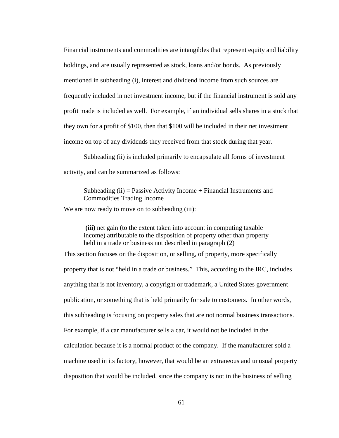Financial instruments and commodities are intangibles that represent equity and liability holdings, and are usually represented as stock, loans and/or bonds. As previously mentioned in subheading (i), interest and dividend income from such sources are frequently included in net investment income, but if the financial instrument is sold any profit made is included as well. For example, if an individual sells shares in a stock that they own for a profit of \$100, then that \$100 will be included in their net investment income on top of any dividends they received from that stock during that year.

Subheading (ii) is included primarily to encapsulate all forms of investment activity, and can be summarized as follows:

Subheading  $(ii)$  = Passive Activity Income + Financial Instruments and Commodities Trading Income

We are now ready to move on to subheading (iii):

**(iii)** net gain (to the extent taken into account in computing taxable income) attributable to the disposition of property other than property held in a trade or business not described in paragraph (2)

This section focuses on the disposition, or selling, of property, more specifically property that is not "held in a trade or business." This, according to the IRC, includes anything that is not inventory, a copyright or trademark, a United States government publication, or something that is held primarily for sale to customers. In other words, this subheading is focusing on property sales that are not normal business transactions. For example, if a car manufacturer sells a car, it would not be included in the calculation because it is a normal product of the company. If the manufacturer sold a machine used in its factory, however, that would be an extraneous and unusual property disposition that would be included, since the company is not in the business of selling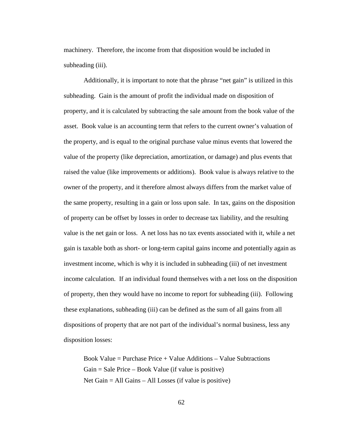machinery. Therefore, the income from that disposition would be included in subheading (iii).

Additionally, it is important to note that the phrase "net gain" is utilized in this subheading. Gain is the amount of profit the individual made on disposition of property, and it is calculated by subtracting the sale amount from the book value of the asset. Book value is an accounting term that refers to the current owner's valuation of the property, and is equal to the original purchase value minus events that lowered the value of the property (like depreciation, amortization, or damage) and plus events that raised the value (like improvements or additions). Book value is always relative to the owner of the property, and it therefore almost always differs from the market value of the same property, resulting in a gain or loss upon sale. In tax, gains on the disposition of property can be offset by losses in order to decrease tax liability, and the resulting value is the net gain or loss. A net loss has no tax events associated with it, while a net gain is taxable both as short- or long-term capital gains income and potentially again as investment income, which is why it is included in subheading (iii) of net investment income calculation. If an individual found themselves with a net loss on the disposition of property, then they would have no income to report for subheading (iii). Following these explanations, subheading (iii) can be defined as the sum of all gains from all dispositions of property that are not part of the individual's normal business, less any disposition losses:

Book Value = Purchase Price  $+$  Value Additions  $-$  Value Subtractions  $Gain = Sale Price - Book Value (if value is positive)$ Net Gain = All Gains – All Losses (if value is positive)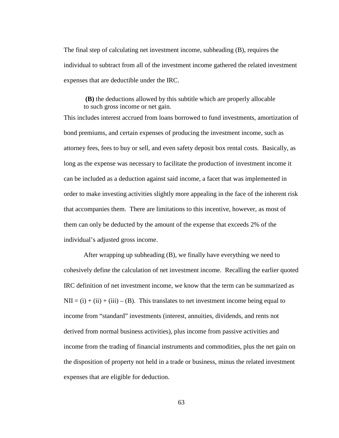The final step of calculating net investment income, subheading (B), requires the individual to subtract from all of the investment income gathered the related investment expenses that are deductible under the IRC.

**(B)** the deductions allowed by this subtitle which are properly allocable to such gross income or net gain.

This includes interest accrued from loans borrowed to fund investments, amortization of bond premiums, and certain expenses of producing the investment income, such as attorney fees, fees to buy or sell, and even safety deposit box rental costs. Basically, as long as the expense was necessary to facilitate the production of investment income it can be included as a deduction against said income, a facet that was implemented in order to make investing activities slightly more appealing in the face of the inherent risk that accompanies them. There are limitations to this incentive, however, as most of them can only be deducted by the amount of the expense that exceeds 2% of the individual's adjusted gross income.

After wrapping up subheading (B), we finally have everything we need to cohesively define the calculation of net investment income. Recalling the earlier quoted IRC definition of net investment income, we know that the term can be summarized as  $NII = (i) + (ii) + (iii) - (B)$ . This translates to net investment income being equal to income from "standard" investments (interest, annuities, dividends, and rents not derived from normal business activities), plus income from passive activities and income from the trading of financial instruments and commodities, plus the net gain on the disposition of property not held in a trade or business, minus the related investment expenses that are eligible for deduction.

63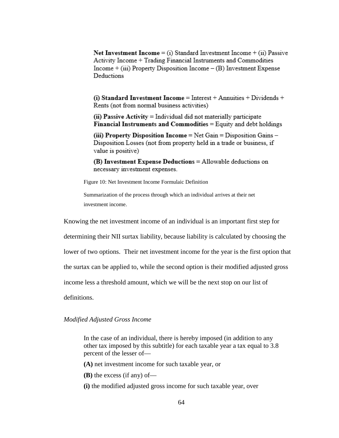Net Investment Income = (i) Standard Investment Income + (ii) Passive Activity Income + Trading Financial Instruments and Commodities  $Income + (iii) Property Disposition Income - (B) Investment Expense$ Deductions

(i) Standard Investment Income = Interest + Annuities + Dividends + Rents (not from normal business activities)

(ii) Passive Activity = Individual did not materially participate Financial Instruments and Commodities = Equity and debt holdings

(iii) Property Disposition Income =  $Net$  Gain = Disposition Gains – Disposition Losses (not from property held in a trade or business, if value is positive)

(B) Investment Expense Deductions = Allowable deductions on necessary investment expenses.

Figure 10: Net Investment Income Formulaic Definition

Summarization of the process through which an individual arrives at their net investment income.

Knowing the net investment income of an individual is an important first step for

determining their NII surtax liability, because liability is calculated by choosing the

lower of two options. Their net investment income for the year is the first option that

the surtax can be applied to, while the second option is their modified adjusted gross

income less a threshold amount, which we will be the next stop on our list of

definitions.

### *Modified Adjusted Gross Income*

In the case of an individual, there is hereby imposed (in addition to any other tax imposed by this subtitle) for each taxable year a tax equal to 3.8 percent of the lesser of—

**(A)** net investment income for such taxable year, or

**(B)** the excess (if any) of—

**(i)** the modified adjusted gross income for such taxable year, over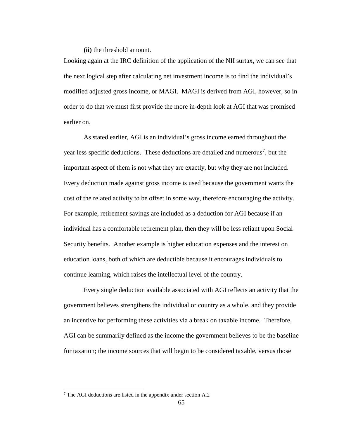**(ii)** the threshold amount.

Looking again at the IRC definition of the application of the NII surtax, we can see that the next logical step after calculating net investment income is to find the individual's modified adjusted gross income, or MAGI. MAGI is derived from AGI, however, so in order to do that we must first provide the more in-depth look at AGI that was promised earlier on.

As stated earlier, AGI is an individual's gross income earned throughout the year less specific deductions. These deductions are detailed and numerous<sup>[7](#page-72-0)</sup>, but the important aspect of them is not what they are exactly, but why they are not included. Every deduction made against gross income is used because the government wants the cost of the related activity to be offset in some way, therefore encouraging the activity. For example, retirement savings are included as a deduction for AGI because if an individual has a comfortable retirement plan, then they will be less reliant upon Social Security benefits. Another example is higher education expenses and the interest on education loans, both of which are deductible because it encourages individuals to continue learning, which raises the intellectual level of the country.

Every single deduction available associated with AGI reflects an activity that the government believes strengthens the individual or country as a whole, and they provide an incentive for performing these activities via a break on taxable income. Therefore, AGI can be summarily defined as the income the government believes to be the baseline for taxation; the income sources that will begin to be considered taxable, versus those

<span id="page-72-0"></span><sup>7</sup> The AGI deductions are listed in the appendix under section A.2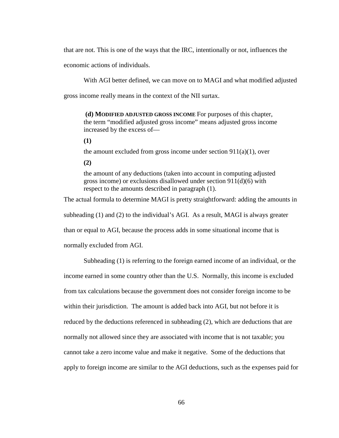that are not. This is one of the ways that the IRC, intentionally or not, influences the

economic actions of individuals.

With AGI better defined, we can move on to MAGI and what modified adjusted

gross income really means in the context of the NII surtax.

**(d) MODIFIED ADJUSTED GROSS INCOME** For purposes of this chapter, the term "modified adjusted gross income" means adjusted gross income increased by the excess of—

**(1)**

the amount excluded from gross income under section  $911(a)(1)$ , over

**(2)**

the amount of any deductions (taken into account in computing adjusted gross income) or exclusions disallowed under section 911(d)(6) with respect to the amounts described in paragraph (1).

The actual formula to determine MAGI is pretty straightforward: adding the amounts in subheading (1) and (2) to the individual's AGI. As a result, MAGI is always greater than or equal to AGI, because the process adds in some situational income that is normally excluded from AGI.

Subheading (1) is referring to the foreign earned income of an individual, or the income earned in some country other than the U.S. Normally, this income is excluded from tax calculations because the government does not consider foreign income to be within their jurisdiction. The amount is added back into AGI, but not before it is reduced by the deductions referenced in subheading (2), which are deductions that are normally not allowed since they are associated with income that is not taxable; you cannot take a zero income value and make it negative. Some of the deductions that apply to foreign income are similar to the AGI deductions, such as the expenses paid for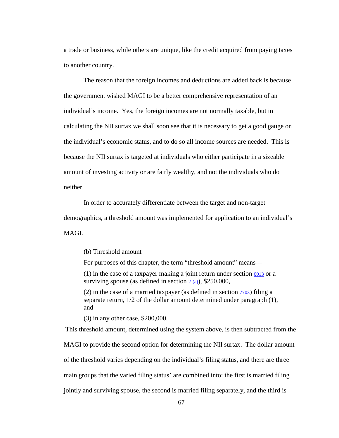a trade or business, while others are unique, like the credit acquired from paying taxes to another country.

The reason that the foreign incomes and deductions are added back is because the government wished MAGI to be a better comprehensive representation of an individual's income. Yes, the foreign incomes are not normally taxable, but in calculating the NII surtax we shall soon see that it is necessary to get a good gauge on the individual's economic status, and to do so all income sources are needed. This is because the NII surtax is targeted at individuals who either participate in a sizeable amount of investing activity or are fairly wealthy, and not the individuals who do neither.

In order to accurately differentiate between the target and non-target demographics, a threshold amount was implemented for application to an individual's MAGI.

(b) Threshold amount

For purposes of this chapter, the term "threshold amount" means—

(1) in the case of a taxpayer making a joint return under section  $\frac{6013}{2}$  $\frac{6013}{2}$  $\frac{6013}{2}$  or a surviving spouse (as defined in section  $2(a)$  $2(a)$ ), \$250,000,

(2) in the case of a married taxpayer (as defined in section  $\frac{7703}{100}$  filing a separate return, 1/2 of the dollar amount determined under paragraph (1), and

(3) in any other case, \$200,000.

This threshold amount, determined using the system above, is then subtracted from the MAGI to provide the second option for determining the NII surtax. The dollar amount of the threshold varies depending on the individual's filing status, and there are three main groups that the varied filing status' are combined into: the first is married filing jointly and surviving spouse, the second is married filing separately, and the third is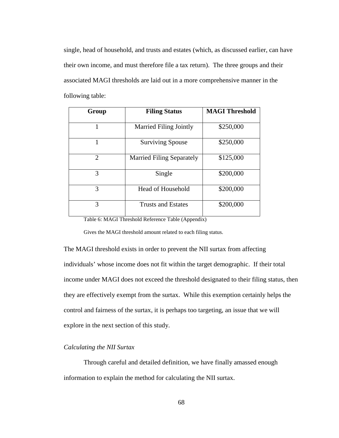single, head of household, and trusts and estates (which, as discussed earlier, can have their own income, and must therefore file a tax return). The three groups and their associated MAGI thresholds are laid out in a more comprehensive manner in the following table:

| Group          | <b>Filing Status</b>             | <b>MAGI Threshold</b> |
|----------------|----------------------------------|-----------------------|
|                | <b>Married Filing Jointly</b>    | \$250,000             |
|                | <b>Surviving Spouse</b>          | \$250,000             |
| $\mathfrak{D}$ | <b>Married Filing Separately</b> | \$125,000             |
| 3              | Single                           | \$200,000             |
| 3              | <b>Head of Household</b>         | \$200,000             |
| $\mathcal{R}$  | <b>Trusts and Estates</b>        | \$200,000             |

Table 6: MAGI Threshold Reference Table (Appendix)

Gives the MAGI threshold amount related to each filing status.

The MAGI threshold exists in order to prevent the NII surtax from affecting individuals' whose income does not fit within the target demographic. If their total income under MAGI does not exceed the threshold designated to their filing status, then they are effectively exempt from the surtax. While this exemption certainly helps the control and fairness of the surtax, it is perhaps too targeting, an issue that we will explore in the next section of this study.

### *Calculating the NII Surtax*

Through careful and detailed definition, we have finally amassed enough information to explain the method for calculating the NII surtax.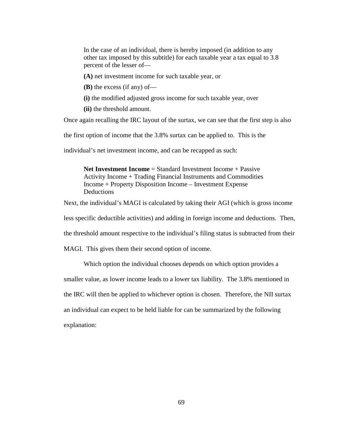In the case of an individual, there is hereby imposed (in addition to any other tax imposed by this subtitle) for each taxable year a tax equal to 3.8 percent of the lesser of—

**(A)** net investment income for such taxable year, or

**(B)** the excess (if any) of—

**(i)** the modified adjusted gross income for such taxable year, over

**(ii)** the threshold amount.

Once again recalling the IRC layout of the surtax, we can see that the first step is also

the first option of income that the 3.8% surtax can be applied to. This is the

individual's net investment income, and can be recapped as such:

**Net Investment Income** = Standard Investment Income + Passive Activity Income + Trading Financial Instruments and Commodities Income + Property Disposition Income – Investment Expense Deductions

Next, the individual's MAGI is calculated by taking their AGI (which is gross income

less specific deductible activities) and adding in foreign income and deductions. Then,

the threshold amount respective to the individual's filing status is subtracted from their

MAGI. This gives them their second option of income.

Which option the individual chooses depends on which option provides a smaller value, as lower income leads to a lower tax liability. The 3.8% mentioned in the IRC will then be applied to whichever option is chosen. Therefore, the NII surtax an individual can expect to be held liable for can be summarized by the following explanation: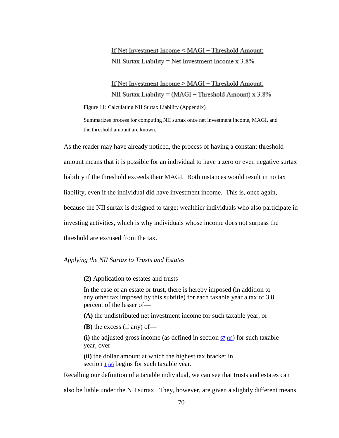If Net Investment Income < MAGI - Threshold Amount: NII Surtax Liability = Net Investment Income x 3.8%

If Net Investment Income > MAGI - Threshold Amount: NII Surtax Liability = (MAGI – Threshold Amount) x  $3.8\%$ 

Figure 11: Calculating NII Surtax Liability (Appendix)

Summarizes process for computing NII surtax once net investment income, MAGI, and the threshold amount are known.

As the reader may have already noticed, the process of having a constant threshold amount means that it is possible for an individual to have a zero or even negative surtax liability if the threshold exceeds their MAGI. Both instances would result in no tax liability, even if the individual did have investment income. This is, once again, because the NII surtax is designed to target wealthier individuals who also participate in investing activities, which is why individuals whose income does not surpass the threshold are excused from the tax.

#### *Applying the NII Surtax to Trusts and Estates*

**(2)** Application to estates and trusts

In the case of an estate or trust, there is hereby imposed (in addition to any other tax imposed by this subtitle) for each taxable year a tax of 3.8 percent of the lesser of—

**(A)** the undistributed net investment income for such taxable year, or

**(B)** the excess (if any) of—

(i) the adjusted gross income (as defined in section  $\frac{67}{2}$  $\frac{67}{2}$  $\frac{67}{2}$  [\(e\)\)](https://www.law.cornell.edu/uscode/text/26/usc_sec_26_00000067----000-#e) for such taxable year, over

**(ii)** the dollar amount at which the highest tax bracket in section  $1(e)$  $1(e)$  begins for such taxable year.

Recalling our definition of a taxable individual, we can see that trusts and estates can

also be liable under the NII surtax. They, however, are given a slightly different means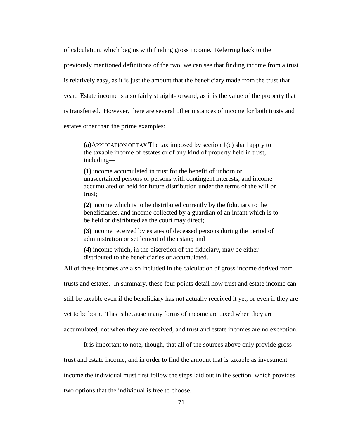of calculation, which begins with finding gross income. Referring back to the previously mentioned definitions of the two, we can see that finding income from a trust is relatively easy, as it is just the amount that the beneficiary made from the trust that year. Estate income is also fairly straight-forward, as it is the value of the property that is transferred. However, there are several other instances of income for both trusts and estates other than the prime examples:

**(a)**APPLICATION OF TAX The tax imposed by section 1(e) shall apply to the taxable income of estates or of any kind of property held in trust, including—

**(1)** income accumulated in trust for the benefit of unborn or unascertained persons or persons with contingent interests, and income accumulated or held for future distribution under the terms of the will or trust;

**(2)** income which is to be distributed currently by the fiduciary to the beneficiaries, and income collected by a guardian of an infant which is to be held or distributed as the court may direct;

**(3)** income received by estates of deceased persons during the period of administration or settlement of the estate; and

**(4)** income which, in the discretion of the fiduciary, may be either distributed to the beneficiaries or accumulated.

All of these incomes are also included in the calculation of gross income derived from

trusts and estates. In summary, these four points detail how trust and estate income can

still be taxable even if the beneficiary has not actually received it yet, or even if they are

yet to be born. This is because many forms of income are taxed when they are

accumulated, not when they are received, and trust and estate incomes are no exception.

It is important to note, though, that all of the sources above only provide gross

trust and estate income, and in order to find the amount that is taxable as investment

income the individual must first follow the steps laid out in the section, which provides

two options that the individual is free to choose.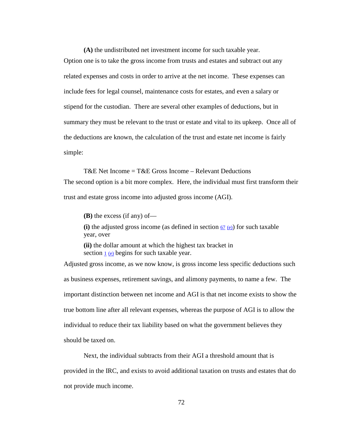**(A)** the undistributed net investment income for such taxable year. Option one is to take the gross income from trusts and estates and subtract out any related expenses and costs in order to arrive at the net income. These expenses can include fees for legal counsel, maintenance costs for estates, and even a salary or stipend for the custodian. There are several other examples of deductions, but in summary they must be relevant to the trust or estate and vital to its upkeep. Once all of the deductions are known, the calculation of the trust and estate net income is fairly simple:

T&E Net Income =  $T$ &E Gross Income – Relevant Deductions The second option is a bit more complex. Here, the individual must first transform their trust and estate gross income into adjusted gross income (AGI).

**(B)** the excess (if any) of—

(i) the adjusted gross income (as defined in section  $\frac{67}{2}$  $\frac{67}{2}$  $\frac{67}{2}$  [\(e\)\)](https://www.law.cornell.edu/uscode/text/26/usc_sec_26_00000067----000-#e) for such taxable year, over

**(ii)** the dollar amount at which the highest tax bracket in section [1](https://www.law.cornell.edu/uscode/text/26/1) [\(e\)](https://www.law.cornell.edu/uscode/text/26/usc_sec_26_00000001----000-#e) begins for such taxable year.

Adjusted gross income, as we now know, is gross income less specific deductions such as business expenses, retirement savings, and alimony payments, to name a few. The important distinction between net income and AGI is that net income exists to show the true bottom line after all relevant expenses, whereas the purpose of AGI is to allow the individual to reduce their tax liability based on what the government believes they should be taxed on.

Next, the individual subtracts from their AGI a threshold amount that is provided in the IRC, and exists to avoid additional taxation on trusts and estates that do not provide much income.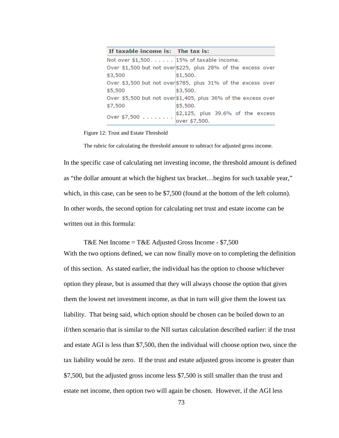| If taxable income is: The tax is:          |                                                                |
|--------------------------------------------|----------------------------------------------------------------|
| Not over $$1,500$ $15%$ of taxable income. |                                                                |
|                                            | Over \$1,500 but not over \$225, plus 28% of the excess over   |
| \$3,500                                    | \$1,500.                                                       |
|                                            | Over \$3,500 but not over \$785, plus 31% of the excess over   |
| \$5,500                                    | \$3,500.                                                       |
|                                            | Over \$5,500 but not over \$1,405, plus 36% of the excess over |
| \$7,500                                    | \$5,500.                                                       |
| Over \$7,500 $\dots$                       | $$2,125$ , plus 39.6% of the excess                            |
|                                            | over \$7,500.                                                  |

Figure 12: Trust and Estate Threshold

The rubric for calculating the threshold amount to subtract for adjusted gross income.

In the specific case of calculating net investing income, the threshold amount is defined as "the dollar amount at which the highest tax bracket…begins for such taxable year," which, in this case, can be seen to be \$7,500 (found at the bottom of the left column). In other words, the second option for calculating net trust and estate income can be written out in this formula:

T&E Net Income = T&E Adjusted Gross Income - \$7,500

With the two options defined, we can now finally move on to completing the definition of this section. As stated earlier, the individual has the option to choose whichever option they please, but is assumed that they will always choose the option that gives them the lowest net investment income, as that in turn will give them the lowest tax liability. That being said, which option should be chosen can be boiled down to an if/then scenario that is similar to the NII surtax calculation described earlier: if the trust and estate AGI is less than \$7,500, then the individual will choose option two, since the tax liability would be zero. If the trust and estate adjusted gross income is greater than \$7,500, but the adjusted gross income less \$7,500 is still smaller than the trust and estate net income, then option two will again be chosen. However, if the AGI less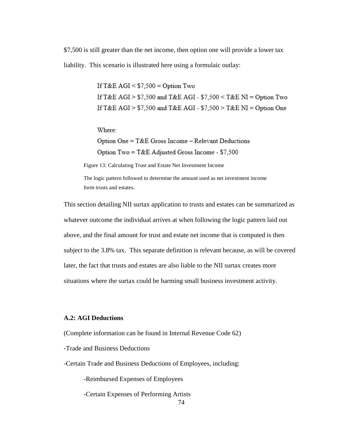\$7,500 is still greater than the net income, then option one will provide a lower tax liability. This scenario is illustrated here using a formulaic outlay:

> If  $T&E AGI \leq $7.500 = Option Two$ If T&E AGI >  $$7,500$  and T&E AGI -  $$7,500 <$  T&E NI = Option Two If T&E AGI >  $$7.500$  and T&E AGI -  $$7.500 >$  T&E NI = Option One

Where:

Option One = T&E Gross Income - Relevant Deductions Option Two = T&E Adjusted Gross Income - \$7,500

Figure 13: Calculating Trust and Estate Net Investment Income

The logic pattern followed to determine the amount used as net investment income form trusts and estates.

This section detailing NII surtax application to trusts and estates can be summarized as whatever outcome the individual arrives at when following the logic pattern laid out above, and the final amount for trust and estate net income that is computed is then subject to the 3.8% tax. This separate definition is relevant because, as will be covered later, the fact that trusts and estates are also liable to the NII surtax creates more situations where the surtax could be harming small business investment activity.

### **A.2: AGI Deductions**

(Complete information can be found in Internal Revenue Code 62)

-Trade and Business Deductions

-Certain Trade and Business Deductions of Employees, including:

-Reimbursed Expenses of Employees

-Certain Expenses of Performing Artists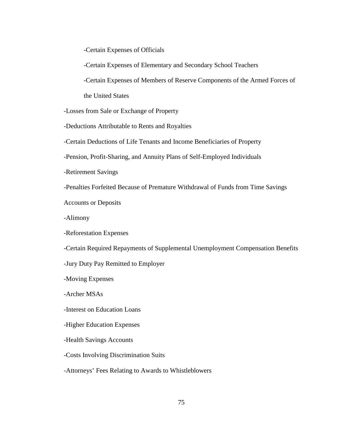-Certain Expenses of Officials

-Certain Expenses of Elementary and Secondary School Teachers

-Certain Expenses of Members of Reserve Components of the Armed Forces of

the United States

-Losses from Sale or Exchange of Property

-Deductions Attributable to Rents and Royalties

-Certain Deductions of Life Tenants and Income Beneficiaries of Property

-Pension, Profit-Sharing, and Annuity Plans of Self-Employed Individuals

-Retirement Savings

-Penalties Forfeited Because of Premature Withdrawal of Funds from Time Savings

Accounts or Deposits

-Alimony

-Reforestation Expenses

-Certain Required Repayments of Supplemental Unemployment Compensation Benefits

-Jury Duty Pay Remitted to Employer

-Moving Expenses

-Archer MSAs

-Interest on Education Loans

-Higher Education Expenses

-Health Savings Accounts

-Costs Involving Discrimination Suits

-Attorneys' Fees Relating to Awards to Whistleblowers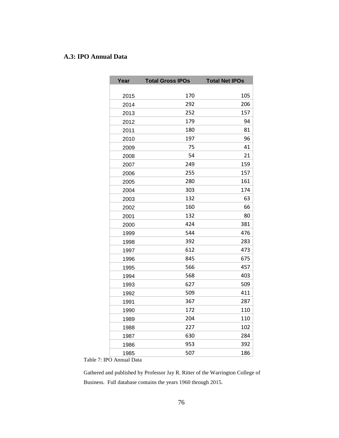## **A.3: IPO Annual Data**

| Year | <b>Total Gross IPOs</b> | <b>Total Net IPOs</b> |
|------|-------------------------|-----------------------|
|      |                         |                       |
| 2015 | 170                     | 105                   |
| 2014 | 292                     | 206                   |
| 2013 | 252                     | 157                   |
| 2012 | 179                     | 94                    |
| 2011 | 180                     | 81                    |
| 2010 | 197                     | 96                    |
| 2009 | 75                      | 41                    |
| 2008 | 54                      | 21                    |
| 2007 | 249                     | 159                   |
| 2006 | 255                     | 157                   |
| 2005 | 280                     | 161                   |
| 2004 | 303                     | 174                   |
| 2003 | 132                     | 63                    |
| 2002 | 160                     | 66                    |
| 2001 | 132                     | 80                    |
| 2000 | 424                     | 381                   |
| 1999 | 544                     | 476                   |
| 1998 | 392                     | 283                   |
| 1997 | 612                     | 473                   |
| 1996 | 845                     | 675                   |
| 1995 | 566                     | 457                   |
| 1994 | 568                     | 403                   |
| 1993 | 627                     | 509                   |
| 1992 | 509                     | 411                   |
| 1991 | 367                     | 287                   |
| 1990 | 172                     | 110                   |
| 1989 | 204                     | 110                   |
| 1988 | 227                     | 102                   |
| 1987 | 630                     | 284                   |
| 1986 | 953                     | 392                   |
| 1985 | 507                     | 186                   |

Table 7: IPO Annual Data

Gathered and published by Professor Jay R. Ritter of the Warrington College of Business. Full database contains the years 1960 through 2015.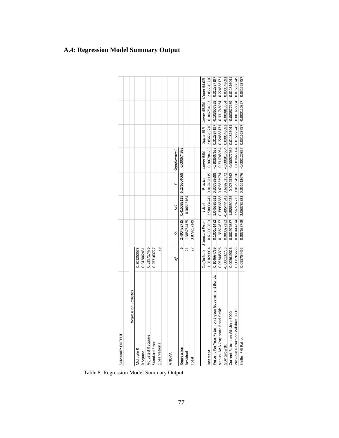| SUMMARY OUTPUT                                                    |                |                             |                                      |                         |                                                                                    |                         |                                                         |             |
|-------------------------------------------------------------------|----------------|-----------------------------|--------------------------------------|-------------------------|------------------------------------------------------------------------------------|-------------------------|---------------------------------------------------------|-------------|
|                                                                   |                |                             |                                      |                         |                                                                                    |                         |                                                         |             |
| Regression Statistics<br>Table 8: Regression Model Summary Output |                |                             |                                      |                         |                                                                                    |                         |                                                         |             |
| Multiple R                                                        | 0.801250573    |                             |                                      |                         |                                                                                    |                         |                                                         |             |
| R Square                                                          | 0.642002481    |                             |                                      |                         |                                                                                    |                         |                                                         |             |
| Adjusted R Square                                                 | 0.539717476    |                             |                                      |                         |                                                                                    |                         |                                                         |             |
| Standard Error                                                    | 0.257160727    |                             |                                      |                         |                                                                                    |                         |                                                         |             |
| Observations                                                      | 28             |                             |                                      |                         |                                                                                    |                         |                                                         |             |
|                                                                   |                |                             |                                      |                         |                                                                                    |                         |                                                         |             |
| ANOVA                                                             |                |                             |                                      |                         |                                                                                    |                         |                                                         |             |
|                                                                   | đ              | SS                          | SW                                   |                         | Significance F                                                                     |                         |                                                         |             |
| Regression                                                        | 6              | 2.490492715                 | 0.415082119 6.276604068              |                         | 0.000674993                                                                        |                         |                                                         |             |
| Residual                                                          | $\overline{c}$ | 1.388764435                 | 0.06613164                           |                         |                                                                                    |                         |                                                         |             |
| Total                                                             | 27             | 3.879257149                 |                                      |                         |                                                                                    |                         |                                                         |             |
|                                                                   |                |                             |                                      |                         |                                                                                    |                         |                                                         |             |
|                                                                   |                | Coefficients Standard Error | t Stat                               | P-value                 | Lower 95%                                                                          |                         | Upper 95% Lower 95.0% Upper 95.0%                       |             |
| ntercept                                                          | 1.581699934    | 0.613053853                 |                                      | 2.580034242 0.017462135 |                                                                                    | 0.306784653 2.856615216 | 0.306784653                                             | 2.856615216 |
| on 5-year Government Bonds:<br>Percent Per Year Return            | 0.104664769    |                             | 0.100101482 1.045586612 0.307638688  |                         |                                                                                    |                         | $-0.103507658$ $0.312837197$ $-0.103507658$ 0.312837197 |             |
| Annual AAA Corporate Bond Yield:                                  | $-0.053445396$ |                             | 0.133824637 -0.399368888 0.693653974 |                         |                                                                                    |                         | $-0.331748964$ $0.224858171$ $-0.331748964$ 0.224858171 |             |
| GDP Growth:                                                       | $-0.000132735$ |                             | 0.000327382 -0.405444843 0.689251572 |                         |                                                                                    |                         | $-0.000813564$ $0.000548093$ $-0.000813564$ 0.000548093 |             |
| re 5000:<br>Current Return on Wilshi                              | 0.005619026    |                             |                                      |                         | 0.0029798881 1.88950425  0.073252422 0.000577989  0.11816041  0.0005779881 1216041 |                         |                                                         |             |
| Previous Return on Wilshire 5000:                                 | 0.008765665    | 0.003414374                 | 2.567282725 0.017954916              |                         |                                                                                    | 0.001665084 0.015866245 | 0.001665084                                             | 0.015866245 |
| Shiller P/E Ratio                                                 | 0.015754465    |                             |                                      |                         | 0.007633769 2.063785923 0.051613676 -0.000120827 0.031629757 -0.000120827          |                         |                                                         | 0.031629757 |

# **A.4: Regression Model Summary Output**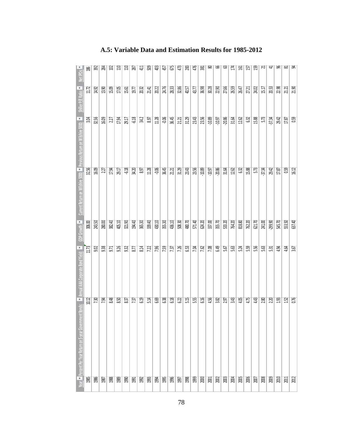| 38      | 392    | $\frac{34}{2}$ | $\mathbb{Z}$ | $\Xi$  | 110    | 287     | $\Xi$           | 50g             | 403     | 457    | 675    | 473    | 283    | 476    | 38              | జ        | ಜ        | ය        | Ħ      | 회      | 157    | $\mathfrak{B}$ | ಸ         | A         | க      | ಜ     | ਡ਼     |
|---------|--------|----------------|--------------|--------|--------|---------|-----------------|-----------------|---------|--------|--------|--------|--------|--------|-----------------|----------|----------|----------|--------|--------|--------|----------------|-----------|-----------|--------|-------|--------|
| 11.72   | 14.92  | 13.90          | 15.09        | 17.05  | 15.61  | 19.77   | 20.32           | 21.41           | 20.22   | 24.76  | 28.33  | 32.86  | 40.57  | 43.77  | 36.98           | 30.28    | 2.90     | 27.66    | 26.59  | 26.47  | 27.21  | 24.02          | $15.17\,$ | 20.53     | 22.98  | 21.21 | 21.90  |
| 3.04    | 32.56  | 16.09          | 2.27         | 17.94  | 29.17  | $-6.18$ | $\mathfrak{A}2$ | 8.97            | $11.28$ | -0.06  | 36.45  | 21.21  | 31.29  | 23.43  | 23.56           | $-10.89$ | $-10.97$ | $-20.86$ | 31.64  | 12.62  | $63$   | 15.88          | 5.73      | $-37.34$  | 29.42  | 17.87 | 0.59   |
| 32.56   | 16.09  | 227            | 17.94        | 29.17  | 6.38   | 34.20   | 8.97            | 11.28           | $-0.06$ | 36.45  | 21.21  | 31.29  | 23.43  | 23.56  | $-10.89$        | $-10.97$ | $-20.86$ | 31.64    | 12.62  | 6.32   | 15.88  | 5.73           | $-37.34$  | 29.42     | 17.87  | 0.59  | 16.12  |
| 306.00  | 243.50 | 280.00         | 382.40       | 405.10 | 321.90 | 194.40  | 365.30          | 339.40          | 430.10  | 355.30 | 436.10 | 508.30 | 480.70 | 571.40 | 624.20          | 337.00   | 355.70   | 533.20   | 764.20 | 818.80 | 762.20 | 621.70         | 241.00    | $-299.90$ | 545.70 | 53.50 | 637.40 |
| 11.73   | 9.02   | 9.38           | 9.71         | 9.26   | 932    | 8.77    | 8.14            | 7.22            | 7.96    | 7.59   | 7.37   | 7.26   | 63     | 7.04   | $\overline{28}$ | 7.08     | er 9     | 5.67     | 5.63   | 5.24   | 5.59   | 5.56           | 5.63      | 5.31      | 4.94   | 4.64  | 3.67   |
| $10.12$ | 7.30   | 7.94           | 8.48         | 8.50   | 8.37   | 7.37    | 6.9             | $\overline{54}$ | 6.69    | 6.38   | 6.3    | 62     | 5.4    | 55     | 616             | 4.56     | 3.82     | 2.97     | 3.43   | 4.05   | 4.75   | 443            | 2.80      | 2.20      | 193    | 152   | 0.76   |
| 985     | 1986   | 1987           | 1988         | 1989   | 1990   | 1991    | 1992            | 1993            | 1994    | 1995   | 1996   | 1997   | 1998   | 999    | 2000            | 2001     | 2002     | $2003$   | 2004   | 2005   | 2006   | $200\,$        | 2008      | 2009      | 2010   | 2011  | 202    |
|         |        |                |              |        |        |         |                 |                 |         |        |        |        |        |        |                 |          |          |          |        |        |        |                |           |           |        |       |        |

## **A.5: Variable Data and Estimation Results for 1985-2012**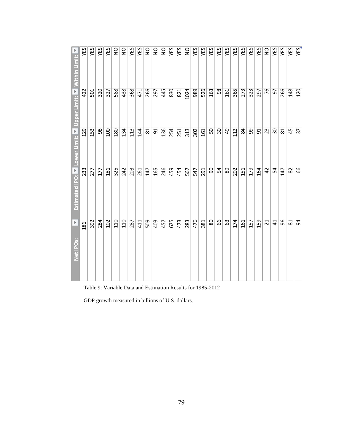|                            | YES | <b>YES</b> | YES | YES | $\frac{0}{2}$ | $\frac{0}{2}$ | YES | YES            | $\frac{0}{2}$ | $\frac{0}{2}$ | $\mathop{\mathsf{S}}\nolimits$ | YES | YES | $\frac{0}{2}$ | YES | YES | YES    | YES                      | YES | YES | YES            | YES | YES | $\frac{0}{2}$   | YES             | YES | YES |
|----------------------------|-----|------------|-----|-----|---------------|---------------|-----|----------------|---------------|---------------|--------------------------------|-----|-----|---------------|-----|-----|--------|--------------------------|-----|-----|----------------|-----|-----|-----------------|-----------------|-----|-----|
| Upper Limit: Vithin Limit: | 422 | 501        | 320 | 327 | 588           | 438           | 368 | 471            | 266           | 297           | 445                            | 830 | 821 | 1024          | 989 | 526 | 163    | 98                       | 161 | 365 | 273            | 323 | 297 | 76              | 57              | 266 | 148 |
| Lower Limit: E             | 129 | 153        | 98  | 100 | 180           | 134           | 113 | $\overline{4}$ | 81            | 51            | 136                            | 254 | 251 | 313           | 302 | 161 | 50     | $\overline{\mathcal{S}}$ | \$  | 112 | $\overline{a}$ | 8   | 51  | 23              | $\overline{30}$ | 81  | 45  |
| Estimated IPO: V           | 233 | 277        | 177 | 181 | 325           | 242           | 203 | 261            | 147           | 165           | 246                            | 459 | 454 | 567           | 547 | 291 | 90     | 54                       | 89  | 202 | 151            | 179 | 164 | $\overline{42}$ | 54              | 147 | 82  |
| Þ                          | 186 | 392        | 284 | 102 | 110           | 110           | 287 | 411            | 509           | 403           | 457                            | 675 | 473 | 283           | 476 | 381 | $80\,$ | 89                       | 63  | 174 | 161            | 157 | 159 | ដ               | $\overline{4}$  | 96  | 81  |
| Net IPO <sub>S</sub> :     |     |            |     |     |               |               |     |                |               |               |                                |     |     |               |     |     |        |                          |     |     |                |     |     |                 |                 |     |     |

Table 9: Variable Data and Estimation Results for 1985-2012

GDP growth measured in billions of U.S. dollars.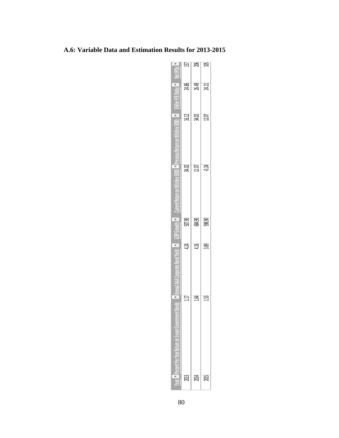| PS                                                                                            | Й      | 26     | 乌      |
|-----------------------------------------------------------------------------------------------|--------|--------|--------|
| Patie <sub>1</sub><br>è.                                                                      | 24.86  | 26.49  | 24.21  |
| E<br>Yanc 50.                                                                                 | 16,12  | 34.02  | 12.07  |
|                                                                                               | 34.02  | 12.07  | 0.4    |
| $_{\text{owth}}$ $_{\text{r}}$                                                                | 507.90 | 684.90 | 598.90 |
| 급                                                                                             | 42     | 416    | 3.89   |
| ×<br>÷<br>ī<br>7<br>ral (P<br>'n<br>ŕ<br>Ê<br>à<br>ı<br>۳<br>S<br>۰<br>ē<br>m.<br>Ξ<br>ē<br>ï | Ë      | ਲ੍ਰ    | ន្ម    |
| ≃<br>ċ.<br>Ξ                                                                                  | g      | 瓢      | ă      |

## **A.6: Variable Data and Estimation Results for 2013-2015**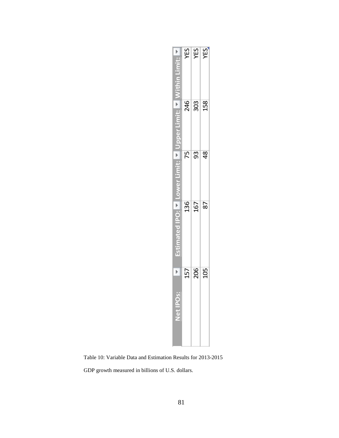|                                                           |                                              | YES | $\frac{X}{Y}$ |               |  |
|-----------------------------------------------------------|----------------------------------------------|-----|---------------|---------------|--|
|                                                           |                                              | 246 | 303           | 158           |  |
|                                                           | r<br>Le<br>Uppel                             |     |               |               |  |
|                                                           |                                              | 75  | 93            | $\frac{8}{3}$ |  |
|                                                           | Estimated IPO: Lower L                       | 136 | 167           | 87            |  |
|                                                           | 네<br>$\mathbf{a}$<br>$\overline{\mathsf{P}}$ | 157 | 206           | 105           |  |
| Table 10: Variable Data and Estimation Results for 2013-2 |                                              |     |               |               |  |
| GDP growth measured in billions of U.S. dollars.          |                                              |     |               |               |  |

Table 10: Variable Data and Estimation Results for 2013-2015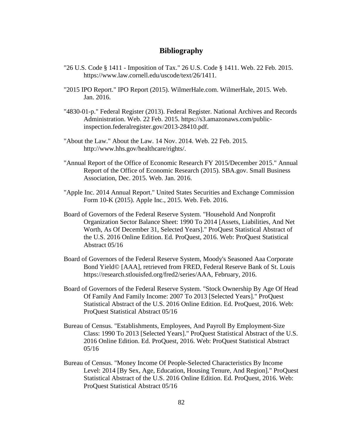### **Bibliography**

- "26 U.S. Code § 1411 Imposition of Tax." 26 U.S. Code § 1411. Web. 22 Feb. 2015. https://www.law.cornell.edu/uscode/text/26/1411.
- "2015 IPO Report." IPO Report (2015). WilmerHale.com. WilmerHale, 2015. Web. Jan. 2016.
- "4830-01-p." Federal Register (2013). Federal Register. National Archives and Records Administration. Web. 22 Feb. 2015. https://s3.amazonaws.com/publicinspection.federalregister.gov/2013-28410.pdf.
- "About the Law." About the Law. 14 Nov. 2014. Web. 22 Feb. 2015. http://www.hhs.gov/healthcare/rights/.
- "Annual Report of the Office of Economic Research FY 2015/December 2015." Annual Report of the Office of Economic Research (2015). SBA.gov. Small Business Association, Dec. 2015. Web. Jan. 2016.
- "Apple Inc. 2014 Annual Report." United States Securities and Exchange Commission Form 10-K (2015). Apple Inc., 2015. Web. Feb. 2016.
- Board of Governors of the Federal Reserve System. "Household And Nonprofit Organization Sector Balance Sheet: 1990 To 2014 [Assets, Liabilities, And Net Worth, As Of December 31, Selected Years]." ProQuest Statistical Abstract of the U.S. 2016 Online Edition. Ed. ProQuest, 2016. Web: ProQuest Statistical Abstract 05/16
- Board of Governors of the Federal Reserve System, Moody's Seasoned Aaa Corporate Bond Yield© [AAA], retrieved from FRED, Federal Reserve Bank of St. Louis https://research.stlouisfed.org/fred2/series/AAA, February, 2016.
- Board of Governors of the Federal Reserve System. "Stock Ownership By Age Of Head Of Family And Family Income: 2007 To 2013 [Selected Years]." ProQuest Statistical Abstract of the U.S. 2016 Online Edition. Ed. ProQuest, 2016. Web: ProQuest Statistical Abstract 05/16
- Bureau of Census. "Establishments, Employees, And Payroll By Employment-Size Class: 1990 To 2013 [Selected Years]." ProQuest Statistical Abstract of the U.S. 2016 Online Edition. Ed. ProQuest, 2016. Web: ProQuest Statistical Abstract 05/16
- Bureau of Census. "Money Income Of People-Selected Characteristics By Income Level: 2014 [By Sex, Age, Education, Housing Tenure, And Region]." ProQuest Statistical Abstract of the U.S. 2016 Online Edition. Ed. ProQuest, 2016. Web: ProQuest Statistical Abstract 05/16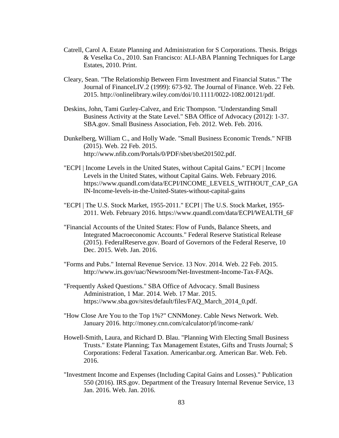- Catrell, Carol A. Estate Planning and Administration for S Corporations. Thesis. Briggs & Veselka Co., 2010. San Francisco: ALI-ABA Planning Techniques for Large Estates, 2010. Print.
- Cleary, Sean. "The Relationship Between Firm Investment and Financial Status." The Journal of FinanceLIV.2 (1999): 673-92. The Journal of Finance. Web. 22 Feb. 2015. http://onlinelibrary.wiley.com/doi/10.1111/0022-1082.00121/pdf.
- Deskins, John, Tami Gurley-Calvez, and Eric Thompson. "Understanding Small Business Activity at the State Level." SBA Office of Advocacy (2012): 1-37. SBA.gov. Small Business Association, Feb. 2012. Web. Feb. 2016.
- Dunkelberg, William C., and Holly Wade. "Small Business Economic Trends." NFIB (2015). Web. 22 Feb. 2015. http://www.nfib.com/Portals/0/PDF/sbet/sbet201502.pdf.
- "ECPI | Income Levels in the United States, without Capital Gains." ECPI | Income Levels in the United States, without Capital Gains. Web. February 2016. https://www.quandl.com/data/ECPI/INCOME\_LEVELS\_WITHOUT\_CAP\_GA IN-Income-levels-in-the-United-States-without-capital-gains
- "ECPI | The U.S. Stock Market, 1955-2011." ECPI | The U.S. Stock Market, 1955- 2011. Web. February 2016. https://www.quandl.com/data/ECPI/WEALTH\_6F
- "Financial Accounts of the United States: Flow of Funds, Balance Sheets, and Integrated Macroeconomic Accounts." Federal Reserve Statistical Release (2015). FederalReserve.gov. Board of Governors of the Federal Reserve, 10 Dec. 2015. Web. Jan. 2016.
- "Forms and Pubs." Internal Revenue Service. 13 Nov. 2014. Web. 22 Feb. 2015. http://www.irs.gov/uac/Newsroom/Net-Investment-Income-Tax-FAQs.
- "Frequently Asked Questions." SBA Office of Advocacy. Small Business Administration, 1 Mar. 2014. Web. 17 Mar. 2015. https://www.sba.gov/sites/default/files/FAQ\_March\_2014\_0.pdf.
- "How Close Are You to the Top 1%?" CNNMoney. Cable News Network. Web. January 2016. http://money.cnn.com/calculator/pf/income-rank/
- Howell-Smith, Laura, and Richard D. Blau. "Planning With Electing Small Business Trusts." Estate Planning; Tax Management Estates, Gifts and Trusts Journal; S Corporations: Federal Taxation. Americanbar.org. American Bar. Web. Feb. 2016.
- "Investment Income and Expenses (Including Capital Gains and Losses)." Publication 550 (2016). IRS.gov. Department of the Treasury Internal Revenue Service, 13 Jan. 2016. Web. Jan. 2016.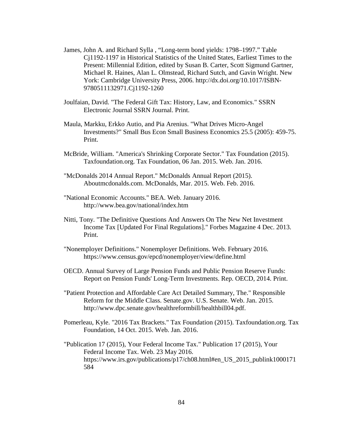- James, John A. and Richard Sylla , "Long-term bond yields: 1798–1997." Table Cj1192-1197 in Historical Statistics of the United States, Earliest Times to the Present: Millennial Edition, edited by Susan B. Carter, Scott Sigmund Gartner, Michael R. Haines, Alan L. Olmstead, Richard Sutch, and Gavin Wright. New York: Cambridge University Press, 2006. http://dx.doi.org/10.1017/ISBN-9780511132971.Cj1192-1260
- Joulfaian, David. "The Federal Gift Tax: History, Law, and Economics." SSRN Electronic Journal SSRN Journal. Print.
- Maula, Markku, Erkko Autio, and Pia Arenius. "What Drives Micro-Angel Investments?" Small Bus Econ Small Business Economics 25.5 (2005): 459-75. Print.
- McBride, William. "America's Shrinking Corporate Sector." Tax Foundation (2015). Taxfoundation.org. Tax Foundation, 06 Jan. 2015. Web. Jan. 2016.
- "McDonalds 2014 Annual Report." McDonalds Annual Report (2015). Aboutmcdonalds.com. McDonalds, Mar. 2015. Web. Feb. 2016.
- "National Economic Accounts." BEA. Web. January 2016. http://www.bea.gov/national/index.htm
- Nitti, Tony. "The Definitive Questions And Answers On The New Net Investment Income Tax [Updated For Final Regulations]." Forbes Magazine 4 Dec. 2013. Print.
- "Nonemployer Definitions." Nonemployer Definitions. Web. February 2016. https://www.census.gov/epcd/nonemployer/view/define.html
- OECD. Annual Survey of Large Pension Funds and Public Pension Reserve Funds: Report on Pension Funds' Long-Term Investments. Rep. OECD, 2014. Print.
- "Patient Protection and Affordable Care Act Detailed Summary, The." Responsible Reform for the Middle Class. Senate.gov. U.S. Senate. Web. Jan. 2015. http://www.dpc.senate.gov/healthreformbill/healthbill04.pdf.
- Pomerleau, Kyle. "2016 Tax Brackets." Tax Foundation (2015). Taxfoundation.org. Tax Foundation, 14 Oct. 2015. Web. Jan. 2016.
- "Publication 17 (2015), Your Federal Income Tax." Publication 17 (2015), Your Federal Income Tax. Web. 23 May 2016. https://www.irs.gov/publications/p17/ch08.html#en\_US\_2015\_publink1000171\_ 584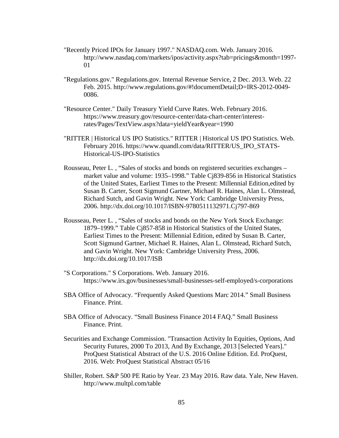- "Recently Priced IPOs for January 1997." NASDAQ.com. Web. January 2016. http://www.nasdaq.com/markets/ipos/activity.aspx?tab=pricings&month=1997- 01
- "Regulations.gov." Regulations.gov. Internal Revenue Service, 2 Dec. 2013. Web. 22 Feb. 2015. http://www.regulations.gov/#!documentDetail;D=IRS-2012-0049- 0086.
- "Resource Center." Daily Treasury Yield Curve Rates. Web. February 2016. https://www.treasury.gov/resource-center/data-chart-center/interestrates/Pages/TextView.aspx?data=yieldYear&year=1990
- "RITTER | Historical US IPO Statistics." RITTER | Historical US IPO Statistics. Web. February 2016. https://www.quandl.com/data/RITTER/US\_IPO\_STATS-Historical-US-IPO-Statistics
- Rousseau, Peter L. , "Sales of stocks and bonds on registered securities exchanges market value and volume: 1935–1998." Table Cj839-856 in Historical Statistics of the United States, Earliest Times to the Present: Millennial Edition,edited by Susan B. Carter, Scott Sigmund Gartner, Michael R. Haines, Alan L. Olmstead, Richard Sutch, and Gavin Wright. New York: Cambridge University Press, 2006. http://dx.doi.org/10.1017/ISBN-9780511132971.Cj797-869
- Rousseau, Peter L. , "Sales of stocks and bonds on the New York Stock Exchange: 1879–1999." Table Cj857-858 in Historical Statistics of the United States, Earliest Times to the Present: Millennial Edition, edited by Susan B. Carter, Scott Sigmund Gartner, Michael R. Haines, Alan L. Olmstead, Richard Sutch, and Gavin Wright. New York: Cambridge University Press, 2006. http://dx.doi.org/10.1017/ISB
- "S Corporations." S Corporations. Web. January 2016. https://www.irs.gov/businesses/small-businesses-self-employed/s-corporations
- SBA Office of Advocacy. "Frequently Asked Questions Marc 2014." Small Business Finance. Print.
- SBA Office of Advocacy. "Small Business Finance 2014 FAQ." Small Business Finance. Print.
- Securities and Exchange Commission. "Transaction Activity In Equities, Options, And Security Futures, 2000 To 2013, And By Exchange, 2013 [Selected Years]." ProQuest Statistical Abstract of the U.S. 2016 Online Edition. Ed. ProQuest, 2016. Web: ProQuest Statistical Abstract 05/16
- Shiller, Robert. S&P 500 PE Ratio by Year. 23 May 2016. Raw data. Yale, New Haven. http://www.multpl.com/table